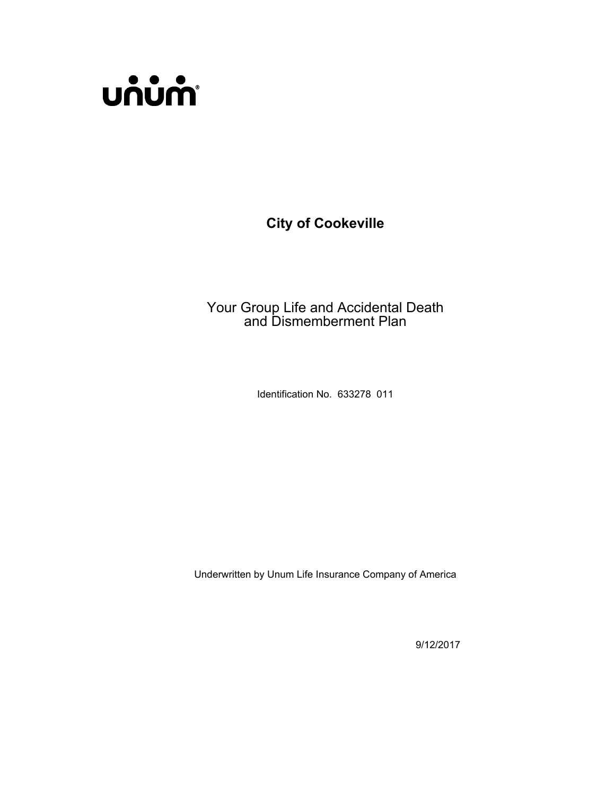

**City of Cookeville**

Your Group Life and Accidental Death and Dismemberment Plan

Identification No. 633278 011

Underwritten by Unum Life Insurance Company of America

9/12/2017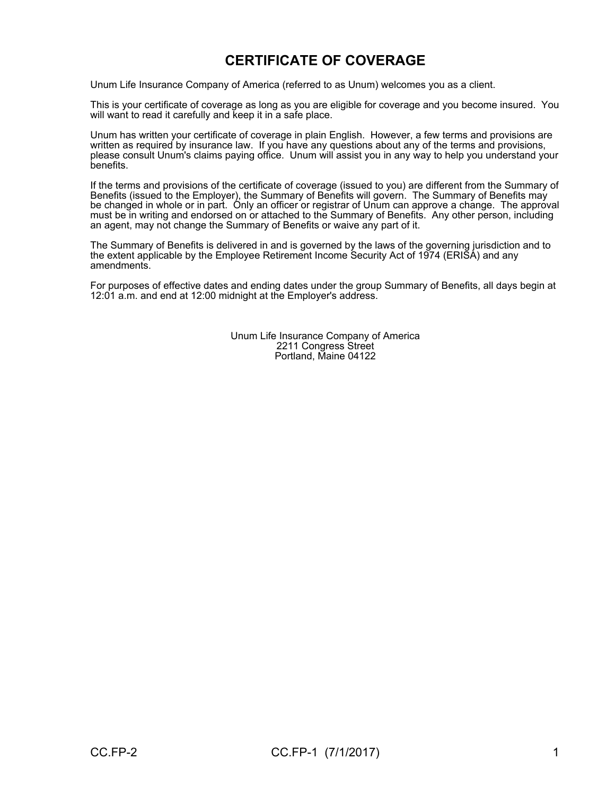## **CERTIFICATE OF COVERAGE**

Unum Life Insurance Company of America (referred to as Unum) welcomes you as a client.

This is your certificate of coverage as long as you are eligible for coverage and you become insured. You will want to read it carefully and keep it in a safe place.

Unum has written your certificate of coverage in plain English. However, a few terms and provisions are written as required by insurance law. If you have any questions about any of the terms and provisions, please consult Unum's claims paying office. Unum will assist you in any way to help you understand your benefits.

If the terms and provisions of the certificate of coverage (issued to you) are different from the Summary of Benefits (issued to the Employer), the Summary of Benefits will govern. The Summary of Benefits may be changed in whole or in part. Only an officer or registrar of Unum can approve a change. The approval must be in writing and endorsed on or attached to the Summary of Benefits. Any other person, including an agent, may not change the Summary of Benefits or waive any part of it.

The Summary of Benefits is delivered in and is governed by the laws of the governing jurisdiction and to the extent applicable by the Employee Retirement Income Security Act of 1974 (ERISA) and any amendments.

For purposes of effective dates and ending dates under the group Summary of Benefits, all days begin at 12:01 a.m. and end at 12:00 midnight at the Employer's address.

> Unum Life Insurance Company of America 2211 Congress Street Portland, Maine 04122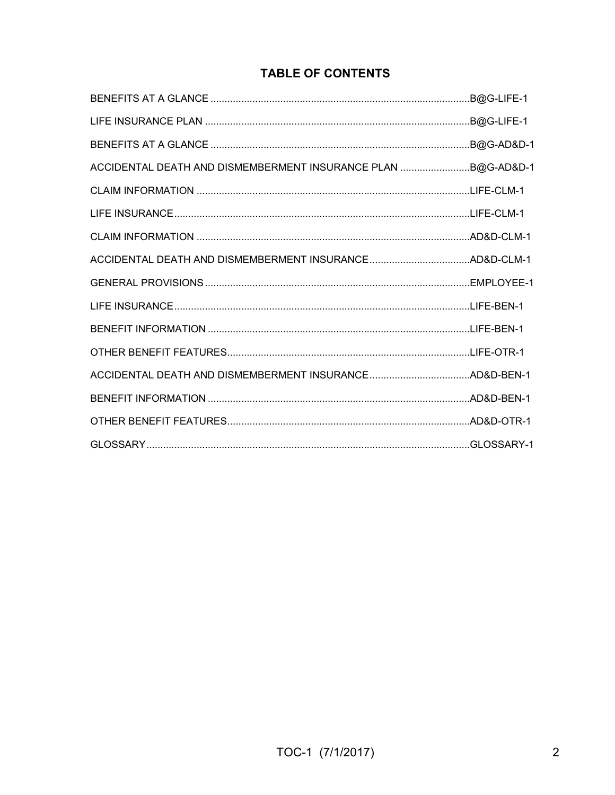## **TABLE OF CONTENTS**

|                                                              | .B@G-LIFE-1 |
|--------------------------------------------------------------|-------------|
|                                                              |             |
| ACCIDENTAL DEATH AND DISMEMBERMENT INSURANCE PLAN B@G-AD&D-1 |             |
|                                                              |             |
|                                                              |             |
|                                                              |             |
|                                                              |             |
|                                                              |             |
|                                                              |             |
|                                                              |             |
|                                                              |             |
|                                                              |             |
|                                                              |             |
|                                                              |             |
|                                                              |             |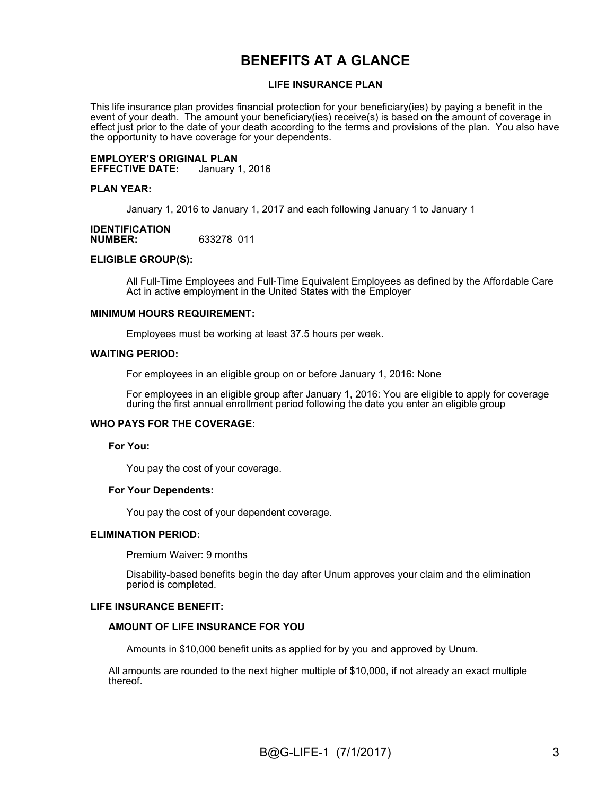## **BENEFITS AT A GLANCE**

#### **LIFE INSURANCE PLAN**

This life insurance plan provides financial protection for your beneficiary(ies) by paying a benefit in the event of your death. The amount your beneficiary(ies) receive(s) is based on the amount of coverage in effect just prior to the date of your death according to the terms and provisions of the plan. You also have the opportunity to have coverage for your dependents.

**EMPLOYER'S ORIGINAL PLAN EFFECTIVE DATE:** 

#### **PLAN YEAR:**

January 1, 2016 to January 1, 2017 and each following January 1 to January 1

#### **IDENTIFICATION NUMBER:** 633278 011

#### **ELIGIBLE GROUP(S):**

All Full-Time Employees and Full-Time Equivalent Employees as defined by the Affordable Care Act in active employment in the United States with the Employer

#### **MINIMUM HOURS REQUIREMENT:**

Employees must be working at least 37.5 hours per week.

#### **WAITING PERIOD:**

For employees in an eligible group on or before January 1, 2016: None

For employees in an eligible group after January 1, 2016: You are eligible to apply for coverage during the first annual enrollment period following the date you enter an eligible group

#### **WHO PAYS FOR THE COVERAGE:**

#### **For You:**

You pay the cost of your coverage.

#### **For Your Dependents:**

You pay the cost of your dependent coverage.

#### **ELIMINATION PERIOD:**

Premium Waiver: 9 months

Disability-based benefits begin the day after Unum approves your claim and the elimination period is completed.

#### **LIFE INSURANCE BENEFIT:**

#### **AMOUNT OF LIFE INSURANCE FOR YOU**

Amounts in \$10,000 benefit units as applied for by you and approved by Unum.

All amounts are rounded to the next higher multiple of \$10,000, if not already an exact multiple thereof.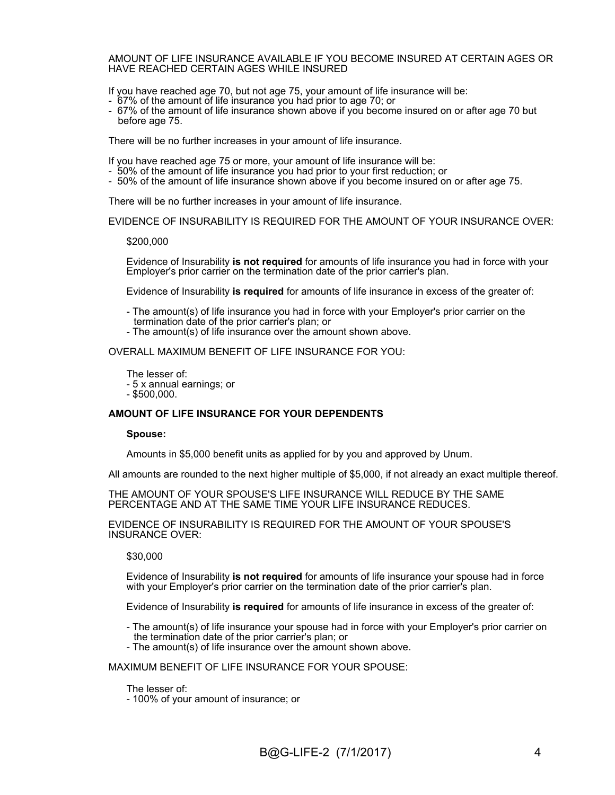#### AMOUNT OF LIFE INSURANCE AVAILABLE IF YOU BECOME INSURED AT CERTAIN AGES OR HAVE REACHED CERTAIN AGES WHILE INSURED

If you have reached age 70, but not age 75, your amount of life insurance will be:

- 67% of the amount of life insurance you had prior to age 70; or
- 67% of the amount of life insurance shown above if you become insured on or after age 70 but before age 75.

There will be no further increases in your amount of life insurance.

If you have reached age 75 or more, your amount of life insurance will be:

- 50% of the amount of life insurance you had prior to your first reduction; or
- 50% of the amount of life insurance shown above if you become insured on or after age 75.

There will be no further increases in your amount of life insurance.

EVIDENCE OF INSURABILITY IS REQUIRED FOR THE AMOUNT OF YOUR INSURANCE OVER:

\$200,000

Evidence of Insurability **is not required** for amounts of life insurance you had in force with your Employer's prior carrier on the termination date of the prior carrier's plan.

Evidence of Insurability **is required** for amounts of life insurance in excess of the greater of:

- The amount(s) of life insurance you had in force with your Employer's prior carrier on the termination date of the prior carrier's plan; or

- The amount(s) of life insurance over the amount shown above.

OVERALL MAXIMUM BENEFIT OF LIFE INSURANCE FOR YOU:

The lesser of: - 5 x annual earnings; or - \$500,000.

#### **AMOUNT OF LIFE INSURANCE FOR YOUR DEPENDENTS**

#### **Spouse:**

Amounts in \$5,000 benefit units as applied for by you and approved by Unum.

All amounts are rounded to the next higher multiple of \$5,000, if not already an exact multiple thereof.

THE AMOUNT OF YOUR SPOUSE'S LIFE INSURANCE WILL REDUCE BY THE SAME PERCENTAGE AND AT THE SAME TIME YOUR LIFE INSURANCE REDUCES.

EVIDENCE OF INSURABILITY IS REQUIRED FOR THE AMOUNT OF YOUR SPOUSE'S INSURANCE OVER:

#### \$30,000

Evidence of Insurability **is not required** for amounts of life insurance your spouse had in force with your Employer's prior carrier on the termination date of the prior carrier's plan.

Evidence of Insurability **is required** for amounts of life insurance in excess of the greater of:

- The amount(s) of life insurance your spouse had in force with your Employer's prior carrier on the termination date of the prior carrier's plan; or

- The amount(s) of life insurance over the amount shown above.

MAXIMUM BENEFIT OF LIFE INSURANCE FOR YOUR SPOUSE:

The lesser of:

- 100% of your amount of insurance; or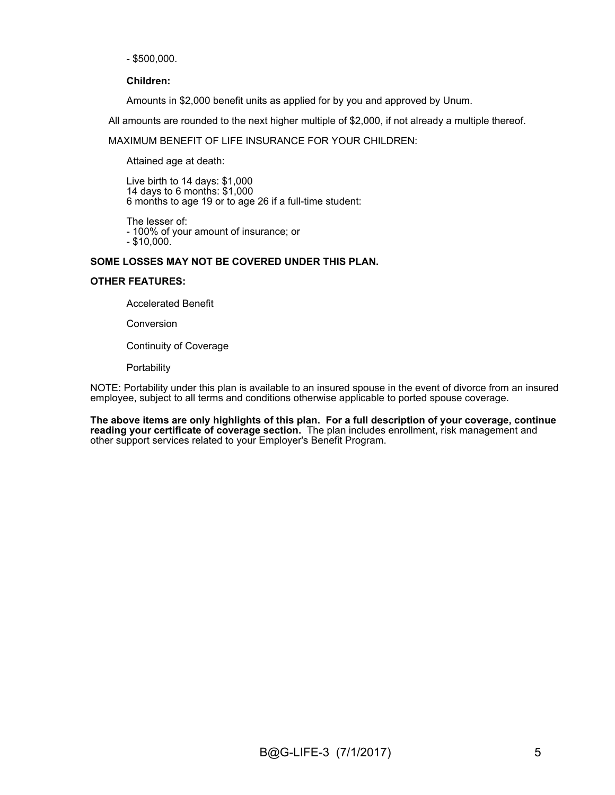- \$500,000.

#### **Children:**

Amounts in \$2,000 benefit units as applied for by you and approved by Unum.

All amounts are rounded to the next higher multiple of \$2,000, if not already a multiple thereof.

#### MAXIMUM BENEFIT OF LIFE INSURANCE FOR YOUR CHILDREN:

Attained age at death:

Live birth to 14 days: \$1,000 14 days to 6 months: \$1,000 6 months to age 19 or to age 26 if a full-time student:

The lesser of: - 100% of your amount of insurance; or - \$10,000.

#### **SOME LOSSES MAY NOT BE COVERED UNDER THIS PLAN.**

#### **OTHER FEATURES:**

Accelerated Benefit

Conversion

Continuity of Coverage

**Portability** 

NOTE: Portability under this plan is available to an insured spouse in the event of divorce from an insured employee, subject to all terms and conditions otherwise applicable to ported spouse coverage.

**The above items are only highlights of this plan. For a full description of your coverage, continue reading your certificate of coverage section.** The plan includes enrollment, risk management and other support services related to your Employer's Benefit Program.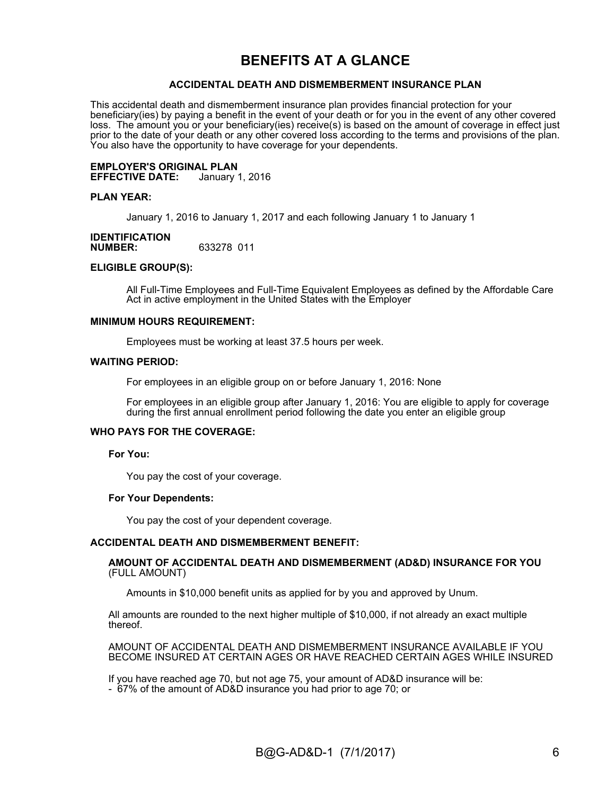## **BENEFITS AT A GLANCE**

#### **ACCIDENTAL DEATH AND DISMEMBERMENT INSURANCE PLAN**

This accidental death and dismemberment insurance plan provides financial protection for your beneficiary(ies) by paying a benefit in the event of your death or for you in the event of any other covered loss. The amount you or your beneficiary(ies) receive(s) is based on the amount of coverage in effect just prior to the date of your death or any other covered loss according to the terms and provisions of the plan. You also have the opportunity to have coverage for your dependents.

# **EMPLOYER'S ORIGINAL PLAN**

**EFFECTIVE DATE:** 

#### **PLAN YEAR:**

January 1, 2016 to January 1, 2017 and each following January 1 to January 1

#### **IDENTIFICATION**<br>NUMBER: **NUMBER:** 633278 011

#### **ELIGIBLE GROUP(S):**

All Full-Time Employees and Full-Time Equivalent Employees as defined by the Affordable Care Act in active employment in the United States with the Employer

#### **MINIMUM HOURS REQUIREMENT:**

Employees must be working at least 37.5 hours per week.

#### **WAITING PERIOD:**

For employees in an eligible group on or before January 1, 2016: None

For employees in an eligible group after January 1, 2016: You are eligible to apply for coverage during the first annual enrollment period following the date you enter an eligible group

#### **WHO PAYS FOR THE COVERAGE:**

#### **For You:**

You pay the cost of your coverage.

#### **For Your Dependents:**

You pay the cost of your dependent coverage.

#### **ACCIDENTAL DEATH AND DISMEMBERMENT BENEFIT:**

#### **AMOUNT OF ACCIDENTAL DEATH AND DISMEMBERMENT (AD&D) INSURANCE FOR YOU**  (FULL AMOUNT)

Amounts in \$10,000 benefit units as applied for by you and approved by Unum.

All amounts are rounded to the next higher multiple of \$10,000, if not already an exact multiple thereof.

AMOUNT OF ACCIDENTAL DEATH AND DISMEMBERMENT INSURANCE AVAILABLE IF YOU BECOME INSURED AT CERTAIN AGES OR HAVE REACHED CERTAIN AGES WHILE INSURED

If you have reached age 70, but not age 75, your amount of AD&D insurance will be:

- 67% of the amount of AD&D insurance you had prior to age 70; or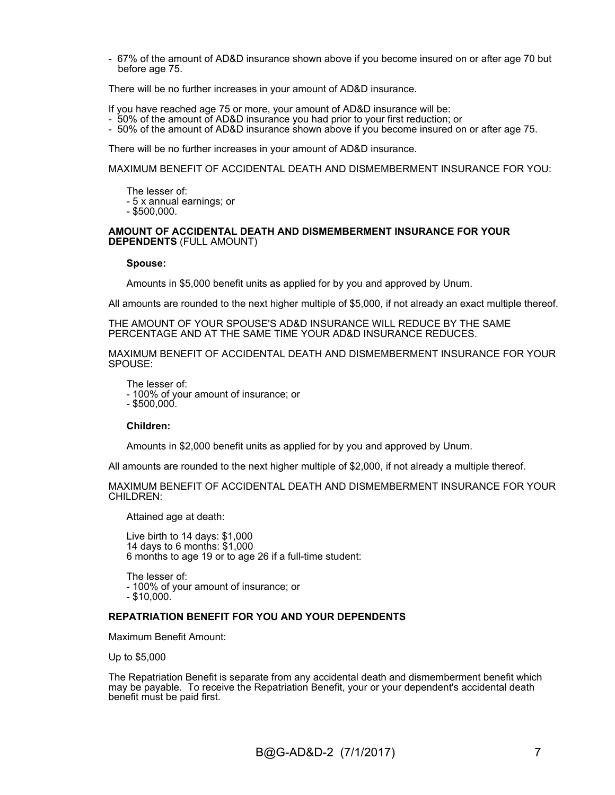- 67% of the amount of AD&D insurance shown above if you become insured on or after age 70 but before age 75.

There will be no further increases in your amount of AD&D insurance.

If you have reached age 75 or more, your amount of AD&D insurance will be:

- 50% of the amount of AD&D insurance you had prior to your first reduction; or
- 50% of the amount of AD&D insurance shown above if you become insured on or after age 75.

There will be no further increases in your amount of AD&D insurance.

MAXIMUM BENEFIT OF ACCIDENTAL DEATH AND DISMEMBERMENT INSURANCE FOR YOU:

The lesser of: - 5 x annual earnings; or

- \$500,000.

#### **AMOUNT OF ACCIDENTAL DEATH AND DISMEMBERMENT INSURANCE FOR YOUR DEPENDENTS** (FULL AMOUNT)

**Spouse:**

Amounts in \$5,000 benefit units as applied for by you and approved by Unum.

All amounts are rounded to the next higher multiple of \$5,000, if not already an exact multiple thereof.

THE AMOUNT OF YOUR SPOUSE'S AD&D INSURANCE WILL REDUCE BY THE SAME PERCENTAGE AND AT THE SAME TIME YOUR AD&D INSURANCE REDUCES.

MAXIMUM BENEFIT OF ACCIDENTAL DEATH AND DISMEMBERMENT INSURANCE FOR YOUR SPOUSE:

The lesser of: - 100% of your amount of insurance; or  $-$  \$500,000.

#### **Children:**

Amounts in \$2,000 benefit units as applied for by you and approved by Unum.

All amounts are rounded to the next higher multiple of \$2,000, if not already a multiple thereof.

MAXIMUM BENEFIT OF ACCIDENTAL DEATH AND DISMEMBERMENT INSURANCE FOR YOUR CHILDREN:

Attained age at death:

Live birth to 14 days: \$1,000 14 days to 6 months: \$1,000 6 months to age 19 or to age 26 if a full-time student:

The lesser of: - 100% of your amount of insurance; or - \$10,000.

#### **REPATRIATION BENEFIT FOR YOU AND YOUR DEPENDENTS**

Maximum Benefit Amount:

Up to \$5,000

The Repatriation Benefit is separate from any accidental death and dismemberment benefit which may be payable. To receive the Repatriation Benefit, your or your dependent's accidental death benefit must be paid first.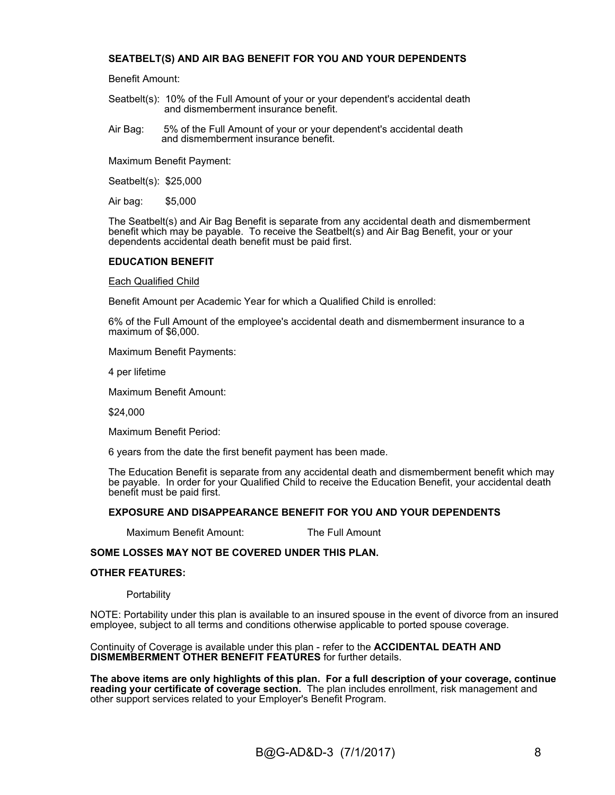#### **SEATBELT(S) AND AIR BAG BENEFIT FOR YOU AND YOUR DEPENDENTS**

Benefit Amount:

- Seatbelt(s): 10% of the Full Amount of your or your dependent's accidental death and dismemberment insurance benefit.
- Air Bag: 5% of the Full Amount of your or your dependent's accidental death and dismemberment insurance benefit.

Maximum Benefit Payment:

Seatbelt(s): \$25,000

Air bag: \$5,000

The Seatbelt(s) and Air Bag Benefit is separate from any accidental death and dismemberment benefit which may be payable. To receive the Seatbelt(s) and Air Bag Benefit, your or your dependents accidental death benefit must be paid first.

#### **EDUCATION BENEFIT**

Each Qualified Child

Benefit Amount per Academic Year for which a Qualified Child is enrolled:

6% of the Full Amount of the employee's accidental death and dismemberment insurance to a maximum of \$6,000.

Maximum Benefit Payments:

4 per lifetime

Maximum Benefit Amount:

\$24,000

Maximum Benefit Period:

6 years from the date the first benefit payment has been made.

The Education Benefit is separate from any accidental death and dismemberment benefit which may be payable. In order for your Qualified Child to receive the Education Benefit, your accidental death benefit must be paid first.

#### **EXPOSURE AND DISAPPEARANCE BENEFIT FOR YOU AND YOUR DEPENDENTS**

Maximum Benefit Amount: The Full Amount

#### **SOME LOSSES MAY NOT BE COVERED UNDER THIS PLAN.**

#### **OTHER FEATURES:**

**Portability** 

NOTE: Portability under this plan is available to an insured spouse in the event of divorce from an insured employee, subject to all terms and conditions otherwise applicable to ported spouse coverage.

Continuity of Coverage is available under this plan - refer to the **ACCIDENTAL DEATH AND DISMEMBERMENT OTHER BENEFIT FEATURES** for further details.

**The above items are only highlights of this plan. For a full description of your coverage, continue reading your certificate of coverage section.** The plan includes enrollment, risk management and other support services related to your Employer's Benefit Program.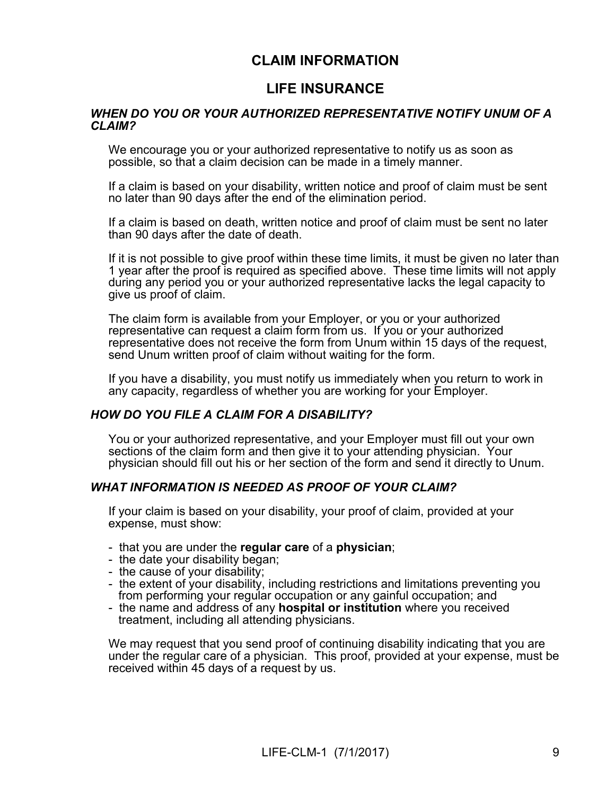## **CLAIM INFORMATION**

## **LIFE INSURANCE**

#### *WHEN DO YOU OR YOUR AUTHORIZED REPRESENTATIVE NOTIFY UNUM OF A CLAIM?*

We encourage you or your authorized representative to notify us as soon as possible, so that a claim decision can be made in a timely manner.

If a claim is based on your disability, written notice and proof of claim must be sent no later than 90 days after the end of the elimination period.

If a claim is based on death, written notice and proof of claim must be sent no later than 90 days after the date of death.

If it is not possible to give proof within these time limits, it must be given no later than 1 year after the proof is required as specified above. These time limits will not apply during any period you or your authorized representative lacks the legal capacity to give us proof of claim.

The claim form is available from your Employer, or you or your authorized representative can request a claim form from us. If you or your authorized representative does not receive the form from Unum within 15 days of the request, send Unum written proof of claim without waiting for the form.

If you have a disability, you must notify us immediately when you return to work in any capacity, regardless of whether you are working for your Employer.

#### *HOW DO YOU FILE A CLAIM FOR A DISABILITY?*

You or your authorized representative, and your Employer must fill out your own sections of the claim form and then give it to your attending physician. Your physician should fill out his or her section of the form and send it directly to Unum.

### *WHAT INFORMATION IS NEEDED AS PROOF OF YOUR CLAIM?*

If your claim is based on your disability, your proof of claim, provided at your expense, must show:

- that you are under the **regular care** of a **physician**;
- the date your disability began;
- the cause of your disability;
- the extent of your disability, including restrictions and limitations preventing you from performing your regular occupation or any gainful occupation; and
- the name and address of any **hospital or institution** where you received treatment, including all attending physicians.

We may request that you send proof of continuing disability indicating that you are under the regular care of a physician. This proof, provided at your expense, must be received within 45 days of a request by us.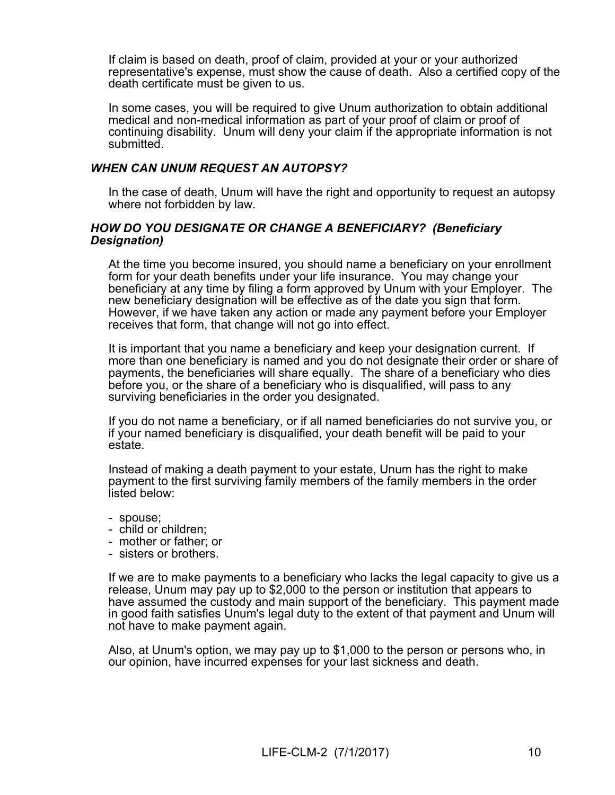If claim is based on death, proof of claim, provided at your or your authorized representative's expense, must show the cause of death. Also a certified copy of the death certificate must be given to us.

In some cases, you will be required to give Unum authorization to obtain additional medical and non-medical information as part of your proof of claim or proof of continuing disability. Unum will deny your claim if the appropriate information is not submitted.

#### *WHEN CAN UNUM REQUEST AN AUTOPSY?*

In the case of death, Unum will have the right and opportunity to request an autopsy where not forbidden by law.

#### *HOW DO YOU DESIGNATE OR CHANGE A BENEFICIARY? (Beneficiary Designation)*

At the time you become insured, you should name a beneficiary on your enrollment form for your death benefits under your life insurance. You may change your beneficiary at any time by filing a form approved by Unum with your Employer. The new beneficiary designation will be effective as of the date you sign that form. However, if we have taken any action or made any payment before your Employer receives that form, that change will not go into effect.

It is important that you name a beneficiary and keep your designation current. If more than one beneficiary is named and you do not designate their order or share of payments, the beneficiaries will share equally. The share of a beneficiary who dies before you, or the share of a beneficiary who is disqualified, will pass to any surviving beneficiaries in the order you designated.

If you do not name a beneficiary, or if all named beneficiaries do not survive you, or if your named beneficiary is disqualified, your death benefit will be paid to your estate.

Instead of making a death payment to your estate, Unum has the right to make payment to the first surviving family members of the family members in the order listed below:

- spouse;
- child or children;
- mother or father; or
- sisters or brothers.

If we are to make payments to a beneficiary who lacks the legal capacity to give us a release, Unum may pay up to \$2,000 to the person or institution that appears to have assumed the custody and main support of the beneficiary. This payment made in good faith satisfies Unum's legal duty to the extent of that payment and Unum will not have to make payment again.

Also, at Unum's option, we may pay up to \$1,000 to the person or persons who, in our opinion, have incurred expenses for your last sickness and death.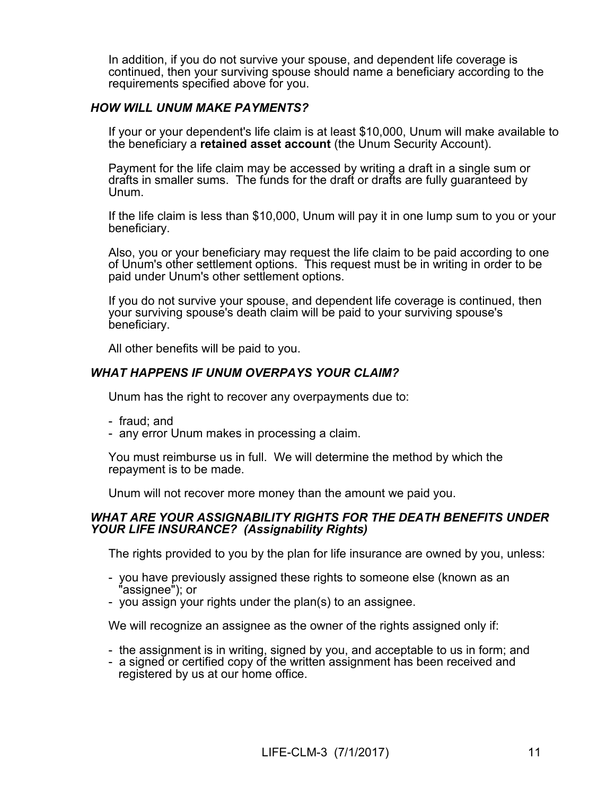In addition, if you do not survive your spouse, and dependent life coverage is continued, then your surviving spouse should name a beneficiary according to the requirements specified above for you.

### *HOW WILL UNUM MAKE PAYMENTS?*

If your or your dependent's life claim is at least \$10,000, Unum will make available to the beneficiary a **retained asset account** (the Unum Security Account).

Payment for the life claim may be accessed by writing a draft in a single sum or drafts in smaller sums. The funds for the draft or drafts are fully guaranteed by Unum.

If the life claim is less than \$10,000, Unum will pay it in one lump sum to you or your beneficiary.

Also, you or your beneficiary may request the life claim to be paid according to one of Unum's other settlement options. This request must be in writing in order to be paid under Unum's other settlement options.

If you do not survive your spouse, and dependent life coverage is continued, then your surviving spouse's death claim will be paid to your surviving spouse's beneficiary.

All other benefits will be paid to you.

### *WHAT HAPPENS IF UNUM OVERPAYS YOUR CLAIM?*

Unum has the right to recover any overpayments due to:

- fraud; and
- any error Unum makes in processing a claim.

You must reimburse us in full. We will determine the method by which the repayment is to be made.

Unum will not recover more money than the amount we paid you.

#### *WHAT ARE YOUR ASSIGNABILITY RIGHTS FOR THE DEATH BENEFITS UNDER YOUR LIFE INSURANCE? (Assignability Rights)*

The rights provided to you by the plan for life insurance are owned by you, unless:

- you have previously assigned these rights to someone else (known as an "assignee"); or
- you assign your rights under the plan(s) to an assignee.

We will recognize an assignee as the owner of the rights assigned only if:

- the assignment is in writing, signed by you, and acceptable to us in form; and
- a signed or certified copy of the written assignment has been received and registered by us at our home office.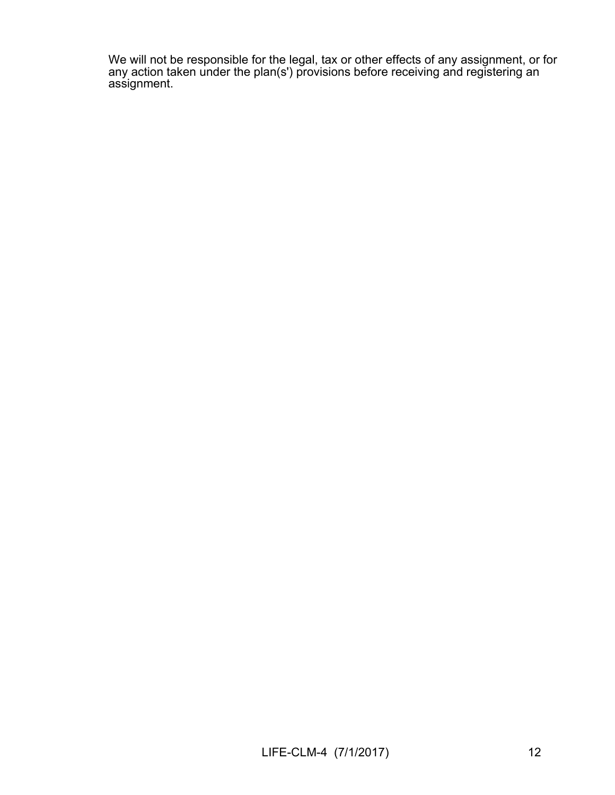We will not be responsible for the legal, tax or other effects of any assignment, or for any action taken under the plan(s') provisions before receiving and registering an assignment.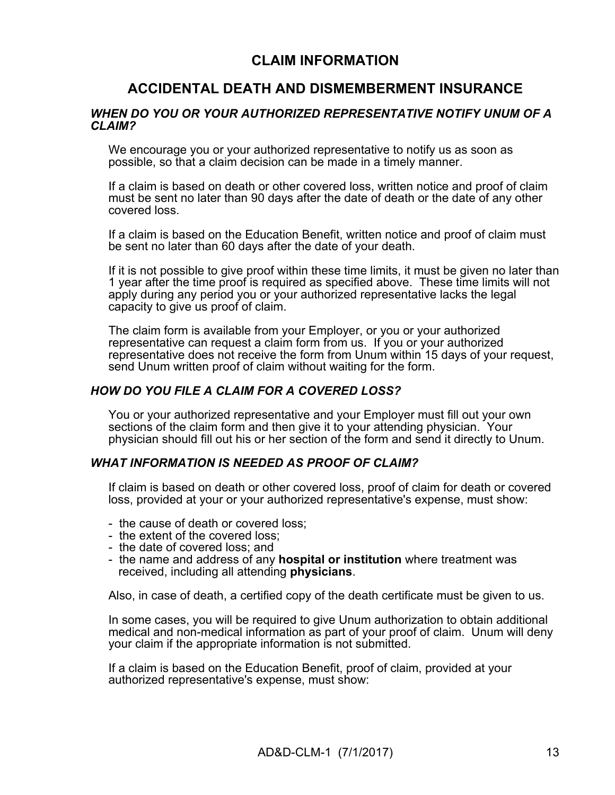## **CLAIM INFORMATION**

## **ACCIDENTAL DEATH AND DISMEMBERMENT INSURANCE**

#### *WHEN DO YOU OR YOUR AUTHORIZED REPRESENTATIVE NOTIFY UNUM OF A CLAIM?*

We encourage you or your authorized representative to notify us as soon as possible, so that a claim decision can be made in a timely manner.

If a claim is based on death or other covered loss, written notice and proof of claim must be sent no later than 90 days after the date of death or the date of any other covered loss.

If a claim is based on the Education Benefit, written notice and proof of claim must be sent no later than 60 days after the date of your death.

If it is not possible to give proof within these time limits, it must be given no later than 1 year after the time proof is required as specified above. These time limits will not apply during any period you or your authorized representative lacks the legal capacity to give us proof of claim.

The claim form is available from your Employer, or you or your authorized representative can request a claim form from us. If you or your authorized representative does not receive the form from Unum within 15 days of your request, send Unum written proof of claim without waiting for the form.

#### *HOW DO YOU FILE A CLAIM FOR A COVERED LOSS?*

You or your authorized representative and your Employer must fill out your own sections of the claim form and then give it to your attending physician. Your physician should fill out his or her section of the form and send it directly to Unum.

#### *WHAT INFORMATION IS NEEDED AS PROOF OF CLAIM?*

If claim is based on death or other covered loss, proof of claim for death or covered loss, provided at your or your authorized representative's expense, must show:

- the cause of death or covered loss;
- the extent of the covered loss;
- the date of covered loss; and
- the name and address of any **hospital or institution** where treatment was received, including all attending **physicians**.

Also, in case of death, a certified copy of the death certificate must be given to us.

In some cases, you will be required to give Unum authorization to obtain additional medical and non-medical information as part of your proof of claim. Unum will deny your claim if the appropriate information is not submitted.

If a claim is based on the Education Benefit, proof of claim, provided at your authorized representative's expense, must show: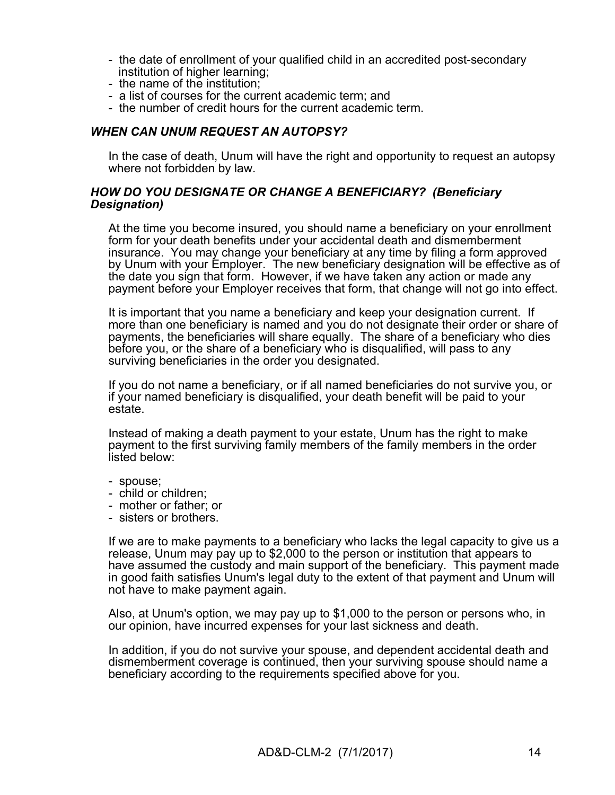- the date of enrollment of your qualified child in an accredited post-secondary institution of higher learning;
- the name of the institution;
- a list of courses for the current academic term; and
- the number of credit hours for the current academic term.

### *WHEN CAN UNUM REQUEST AN AUTOPSY?*

In the case of death, Unum will have the right and opportunity to request an autopsy where not forbidden by law.

#### *HOW DO YOU DESIGNATE OR CHANGE A BENEFICIARY? (Beneficiary Designation)*

At the time you become insured, you should name a beneficiary on your enrollment form for your death benefits under your accidental death and dismemberment insurance. You may change your beneficiary at any time by filing a form approved by Unum with your Employer. The new beneficiary designation will be effective as of the date you sign that form. However, if we have taken any action or made any payment before your Employer receives that form, that change will not go into effect.

It is important that you name a beneficiary and keep your designation current. If more than one beneficiary is named and you do not designate their order or share of payments, the beneficiaries will share equally. The share of a beneficiary who dies before you, or the share of a beneficiary who is disqualified, will pass to any surviving beneficiaries in the order you designated.

If you do not name a beneficiary, or if all named beneficiaries do not survive you, or if your named beneficiary is disqualified, your death benefit will be paid to your estate.

Instead of making a death payment to your estate, Unum has the right to make payment to the first surviving family members of the family members in the order listed below:

- spouse;
- child or children;
- mother or father; or
- sisters or brothers.

If we are to make payments to a beneficiary who lacks the legal capacity to give us a release, Unum may pay up to \$2,000 to the person or institution that appears to have assumed the custody and main support of the beneficiary. This payment made in good faith satisfies Unum's legal duty to the extent of that payment and Unum will not have to make payment again.

Also, at Unum's option, we may pay up to \$1,000 to the person or persons who, in our opinion, have incurred expenses for your last sickness and death.

In addition, if you do not survive your spouse, and dependent accidental death and dismemberment coverage is continued, then your surviving spouse should name a beneficiary according to the requirements specified above for you.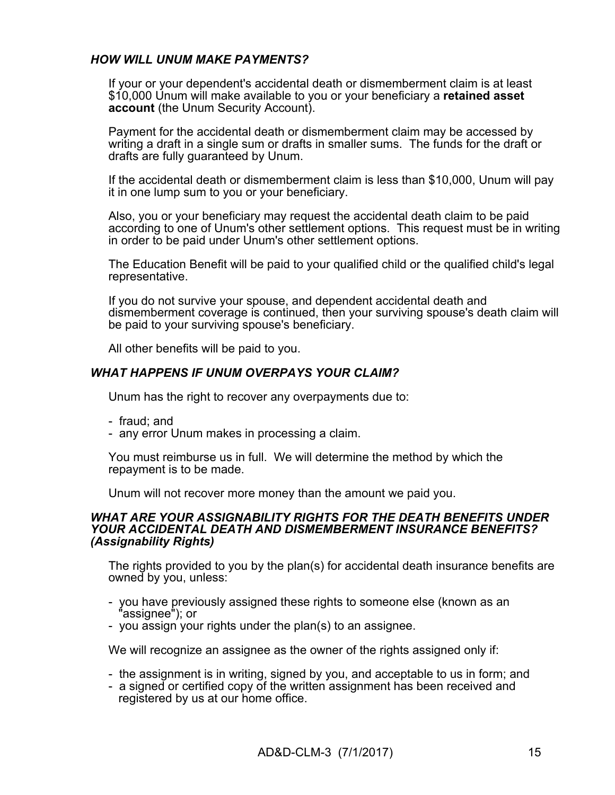### *HOW WILL UNUM MAKE PAYMENTS?*

If your or your dependent's accidental death or dismemberment claim is at least \$10,000 Unum will make available to you or your beneficiary a **retained asset account** (the Unum Security Account).

Payment for the accidental death or dismemberment claim may be accessed by writing a draft in a single sum or drafts in smaller sums. The funds for the draft or drafts are fully guaranteed by Unum.

If the accidental death or dismemberment claim is less than \$10,000, Unum will pay it in one lump sum to you or your beneficiary.

Also, you or your beneficiary may request the accidental death claim to be paid according to one of Unum's other settlement options. This request must be in writing in order to be paid under Unum's other settlement options.

The Education Benefit will be paid to your qualified child or the qualified child's legal representative.

If you do not survive your spouse, and dependent accidental death and dismemberment coverage is continued, then your surviving spouse's death claim will be paid to your surviving spouse's beneficiary.

All other benefits will be paid to you.

### *WHAT HAPPENS IF UNUM OVERPAYS YOUR CLAIM?*

Unum has the right to recover any overpayments due to:

- fraud; and
- any error Unum makes in processing a claim.

You must reimburse us in full. We will determine the method by which the repayment is to be made.

Unum will not recover more money than the amount we paid you.

#### *WHAT ARE YOUR ASSIGNABILITY RIGHTS FOR THE DEATH BENEFITS UNDER YOUR ACCIDENTAL DEATH AND DISMEMBERMENT INSURANCE BENEFITS? (Assignability Rights)*

The rights provided to you by the plan(s) for accidental death insurance benefits are owned by you, unless:

- you have previously assigned these rights to someone else (known as an assignee"); or
- you assign your rights under the plan(s) to an assignee.

We will recognize an assignee as the owner of the rights assigned only if:

- the assignment is in writing, signed by you, and acceptable to us in form; and
- a signed or certified copy of the written assignment has been received and registered by us at our home office.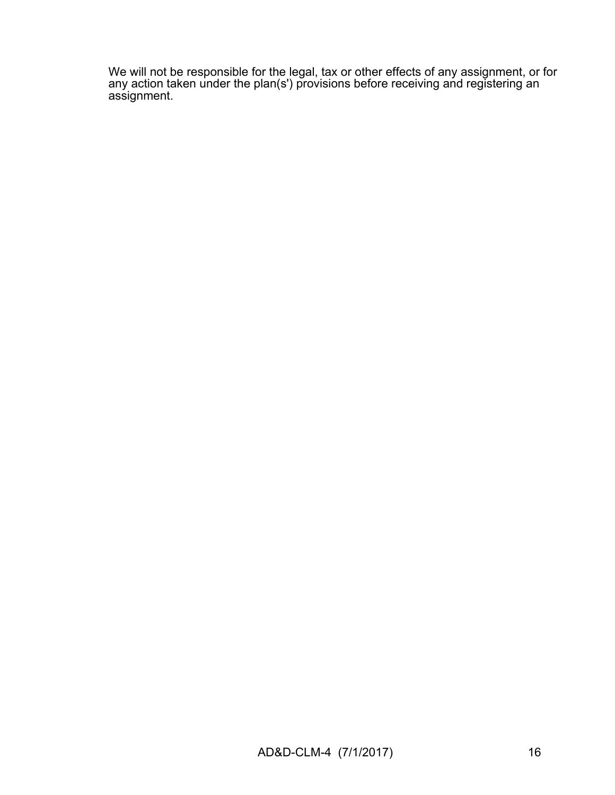We will not be responsible for the legal, tax or other effects of any assignment, or for any action taken under the plan(s') provisions before receiving and registering an assignment.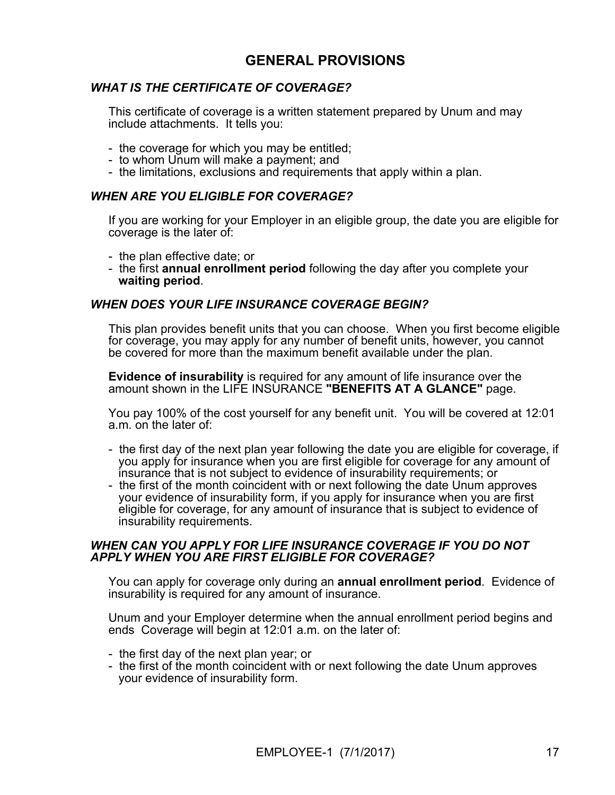## **GENERAL PROVISIONS**

### *WHAT IS THE CERTIFICATE OF COVERAGE?*

This certificate of coverage is a written statement prepared by Unum and may include attachments. It tells you:

- the coverage for which you may be entitled;
- to whom Unum will make a payment; and
- the limitations, exclusions and requirements that apply within a plan.

#### *WHEN ARE YOU ELIGIBLE FOR COVERAGE?*

If you are working for your Employer in an eligible group, the date you are eligible for coverage is the later of:

- the plan effective date; or
- the first **annual enrollment period** following the day after you complete your **waiting period**.

#### *WHEN DOES YOUR LIFE INSURANCE COVERAGE BEGIN?*

This plan provides benefit units that you can choose. When you first become eligible for coverage, you may apply for any number of benefit units, however, you cannot be covered for more than the maximum benefit available under the plan.

**Evidence of insurability** is required for any amount of life insurance over the amount shown in the LIFE INSURANCE **"BENEFITS AT A GLANCE"** page.

You pay 100% of the cost yourself for any benefit unit. You will be covered at 12:01 a.m. on the later of:

- the first day of the next plan year following the date you are eligible for coverage, if you apply for insurance when you are first eligible for coverage for any amount of insurance that is not subject to evidence of insurability requirements; or
- the first of the month coincident with or next following the date Unum approves your evidence of insurability form, if you apply for insurance when you are first eligible for coverage, for any amount of insurance that is subject to evidence of insurability requirements.

#### *WHEN CAN YOU APPLY FOR LIFE INSURANCE COVERAGE IF YOU DO NOT APPLY WHEN YOU ARE FIRST ELIGIBLE FOR COVERAGE?*

You can apply for coverage only during an **annual enrollment period**. Evidence of insurability is required for any amount of insurance.

Unum and your Employer determine when the annual enrollment period begins and ends Coverage will begin at 12:01 a.m. on the later of:

- the first day of the next plan year; or
- the first of the month coincident with or next following the date Unum approves your evidence of insurability form.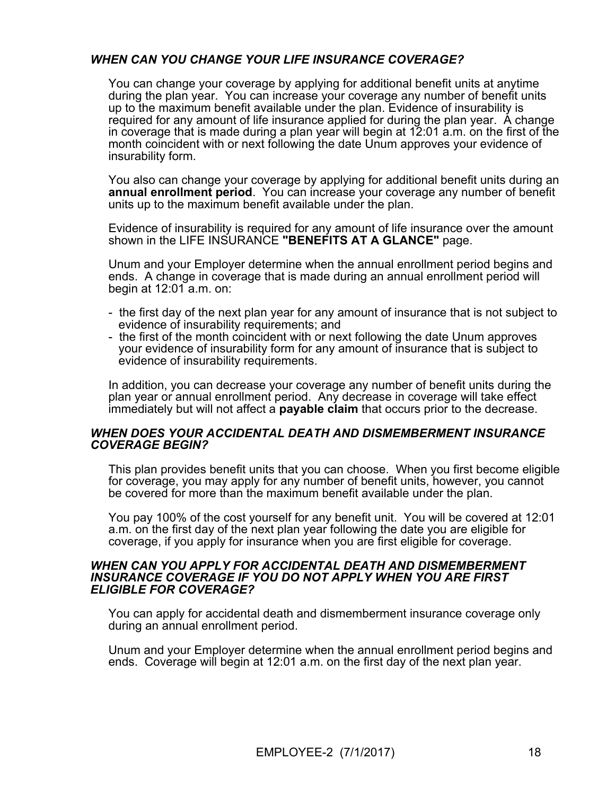## *WHEN CAN YOU CHANGE YOUR LIFE INSURANCE COVERAGE?*

You can change your coverage by applying for additional benefit units at anytime during the plan year. You can increase your coverage any number of benefit units up to the maximum benefit available under the plan. Evidence of insurability is required for any amount of life insurance applied for during the plan year. A change in coverage that is made during a plan year will begin at 12:01 a.m. on the first of the month coincident with or next following the date Unum approves your evidence of insurability form.

You also can change your coverage by applying for additional benefit units during an **annual enrollment period**. You can increase your coverage any number of benefit units up to the maximum benefit available under the plan.

Evidence of insurability is required for any amount of life insurance over the amount shown in the LIFE INSURANCE **"BENEFITS AT A GLANCE"** page.

Unum and your Employer determine when the annual enrollment period begins and ends. A change in coverage that is made during an annual enrollment period will begin at 12:01 a.m. on:

- the first day of the next plan year for any amount of insurance that is not subject to evidence of insurability requirements; and
- the first of the month coincident with or next following the date Unum approves your evidence of insurability form for any amount of insurance that is subject to evidence of insurability requirements.

In addition, you can decrease your coverage any number of benefit units during the plan year or annual enrollment period. Any decrease in coverage will take effect immediately but will not affect a **payable claim** that occurs prior to the decrease.

#### *WHEN DOES YOUR ACCIDENTAL DEATH AND DISMEMBERMENT INSURANCE COVERAGE BEGIN?*

This plan provides benefit units that you can choose. When you first become eligible for coverage, you may apply for any number of benefit units, however, you cannot be covered for more than the maximum benefit available under the plan.

You pay 100% of the cost yourself for any benefit unit. You will be covered at 12:01 a.m. on the first day of the next plan year following the date you are eligible for coverage, if you apply for insurance when you are first eligible for coverage.

#### *WHEN CAN YOU APPLY FOR ACCIDENTAL DEATH AND DISMEMBERMENT INSURANCE COVERAGE IF YOU DO NOT APPLY WHEN YOU ARE FIRST ELIGIBLE FOR COVERAGE?*

You can apply for accidental death and dismemberment insurance coverage only during an annual enrollment period.

Unum and your Employer determine when the annual enrollment period begins and ends. Coverage will begin at 12:01 a.m. on the first day of the next plan year.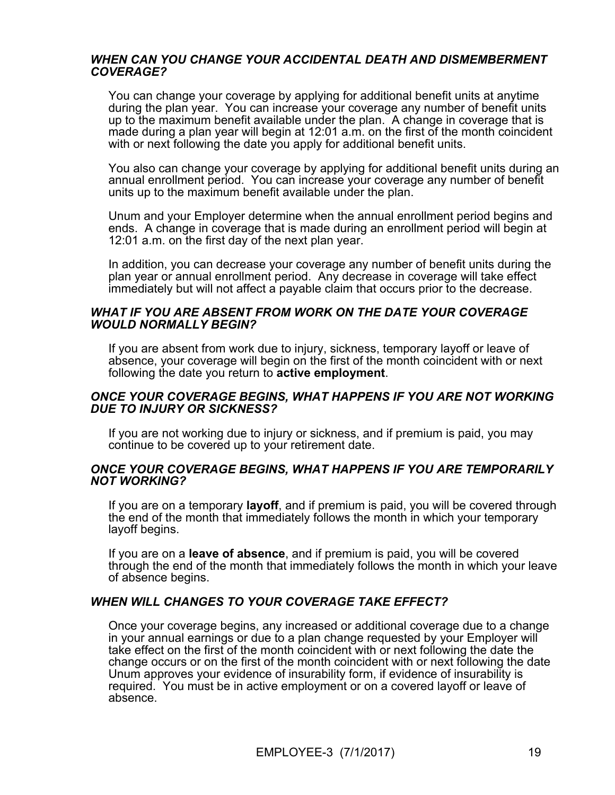#### *WHEN CAN YOU CHANGE YOUR ACCIDENTAL DEATH AND DISMEMBERMENT COVERAGE?*

You can change your coverage by applying for additional benefit units at anytime during the plan year. You can increase your coverage any number of benefit units up to the maximum benefit available under the plan. A change in coverage that is made during a plan year will begin at 12:01 a.m. on the first of the month coincident with or next following the date you apply for additional benefit units.

You also can change your coverage by applying for additional benefit units during an annual enrollment period. You can increase your coverage any number of benefit units up to the maximum benefit available under the plan.

Unum and your Employer determine when the annual enrollment period begins and ends. A change in coverage that is made during an enrollment period will begin at 12:01 a.m. on the first day of the next plan year.

In addition, you can decrease your coverage any number of benefit units during the plan year or annual enrollment period. Any decrease in coverage will take effect immediately but will not affect a payable claim that occurs prior to the decrease.

#### *WHAT IF YOU ARE ABSENT FROM WORK ON THE DATE YOUR COVERAGE WOULD NORMALLY BEGIN?*

If you are absent from work due to injury, sickness, temporary layoff or leave of absence, your coverage will begin on the first of the month coincident with or next following the date you return to **active employment**.

#### *ONCE YOUR COVERAGE BEGINS, WHAT HAPPENS IF YOU ARE NOT WORKING DUE TO INJURY OR SICKNESS?*

If you are not working due to injury or sickness, and if premium is paid, you may continue to be covered up to your retirement date.

#### *ONCE YOUR COVERAGE BEGINS, WHAT HAPPENS IF YOU ARE TEMPORARILY NOT WORKING?*

If you are on a temporary **layoff**, and if premium is paid, you will be covered through the end of the month that immediately follows the month in which your temporary layoff begins.

If you are on a **leave of absence**, and if premium is paid, you will be covered through the end of the month that immediately follows the month in which your leave of absence begins.

#### *WHEN WILL CHANGES TO YOUR COVERAGE TAKE EFFECT?*

Once your coverage begins, any increased or additional coverage due to a change in your annual earnings or due to a plan change requested by your Employer will take effect on the first of the month coincident with or next following the date the change occurs or on the first of the month coincident with or next following the date Unum approves your evidence of insurability form, if evidence of insurability is required. You must be in active employment or on a covered layoff or leave of absence.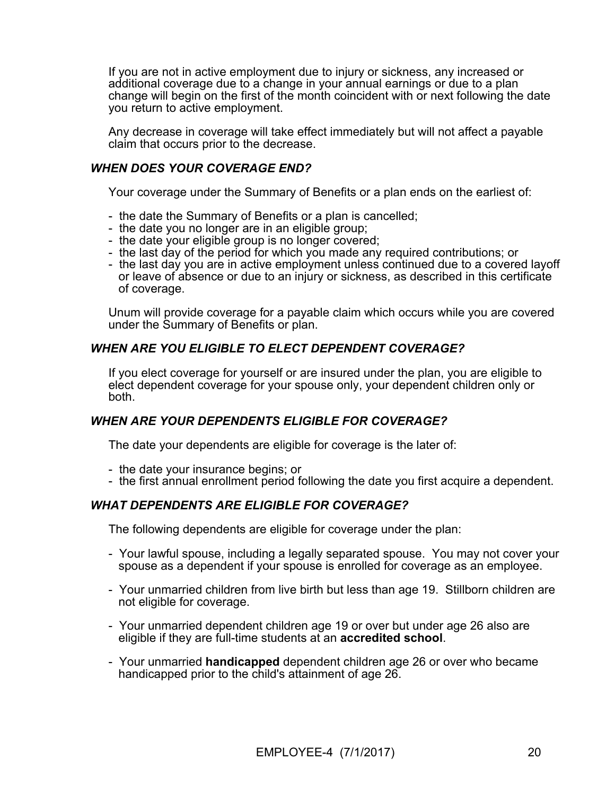If you are not in active employment due to injury or sickness, any increased or additional coverage due to a change in your annual earnings or due to a plan change will begin on the first of the month coincident with or next following the date you return to active employment.

Any decrease in coverage will take effect immediately but will not affect a payable claim that occurs prior to the decrease.

#### *WHEN DOES YOUR COVERAGE END?*

Your coverage under the Summary of Benefits or a plan ends on the earliest of:

- the date the Summary of Benefits or a plan is cancelled;
- the date you no longer are in an eligible group;
- the date your eligible group is no longer covered;
- the last day of the period for which you made any required contributions; or
- the last day you are in active employment unless continued due to a covered lavoff or leave of absence or due to an injury or sickness, as described in this certificate of coverage.

Unum will provide coverage for a payable claim which occurs while you are covered under the Summary of Benefits or plan.

### *WHEN ARE YOU ELIGIBLE TO ELECT DEPENDENT COVERAGE?*

If you elect coverage for yourself or are insured under the plan, you are eligible to elect dependent coverage for your spouse only, your dependent children only or both.

### *WHEN ARE YOUR DEPENDENTS ELIGIBLE FOR COVERAGE?*

The date your dependents are eligible for coverage is the later of:

- the date your insurance begins; or
- the first annual enrollment period following the date you first acquire a dependent.

### *WHAT DEPENDENTS ARE ELIGIBLE FOR COVERAGE?*

The following dependents are eligible for coverage under the plan:

- Your lawful spouse, including a legally separated spouse. You may not cover your spouse as a dependent if your spouse is enrolled for coverage as an employee.
- Your unmarried children from live birth but less than age 19. Stillborn children are not eligible for coverage.
- Your unmarried dependent children age 19 or over but under age 26 also are eligible if they are full-time students at an **accredited school**.
- Your unmarried **handicapped** dependent children age 26 or over who became handicapped prior to the child's attainment of age 26.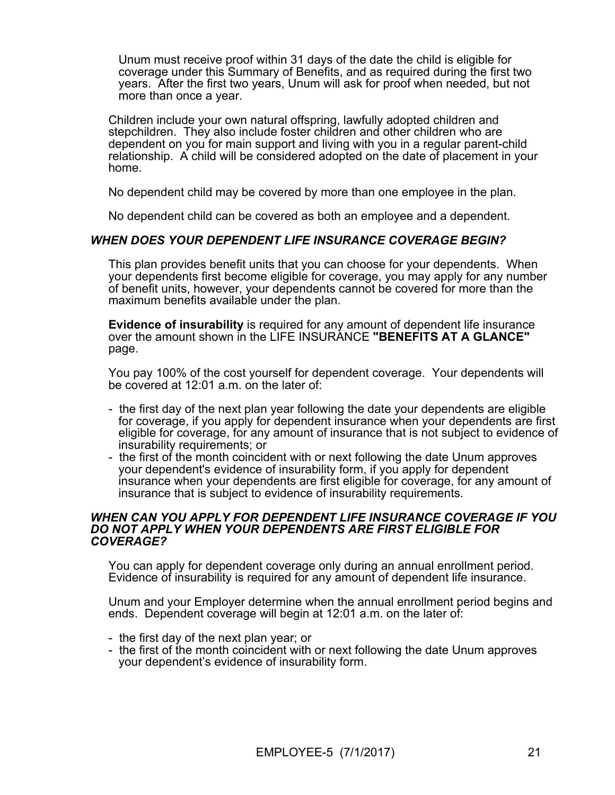Unum must receive proof within 31 days of the date the child is eligible for coverage under this Summary of Benefits, and as required during the first two years. After the first two years, Unum will ask for proof when needed, but not more than once a year.

Children include your own natural offspring, lawfully adopted children and stepchildren. They also include foster children and other children who are dependent on you for main support and living with you in a regular parent-child relationship. A child will be considered adopted on the date of placement in your home.

No dependent child may be covered by more than one employee in the plan.

No dependent child can be covered as both an employee and a dependent.

### *WHEN DOES YOUR DEPENDENT LIFE INSURANCE COVERAGE BEGIN?*

This plan provides benefit units that you can choose for your dependents. When your dependents first become eligible for coverage, you may apply for any number of benefit units, however, your dependents cannot be covered for more than the maximum benefits available under the plan.

**Evidence of insurability** is required for any amount of dependent life insurance over the amount shown in the LIFE INSURANCE **"BENEFITS AT A GLANCE"** page.

You pay 100% of the cost yourself for dependent coverage. Your dependents will be covered at 12:01 a.m. on the later of:

- the first day of the next plan year following the date your dependents are eligible for coverage, if you apply for dependent insurance when your dependents are first eligible for coverage, for any amount of insurance that is not subject to evidence of insurability requirements; or
- the first of the month coincident with or next following the date Unum approves your dependent's evidence of insurability form, if you apply for dependent insurance when your dependents are first eligible for coverage, for any amount of insurance that is subject to evidence of insurability requirements.

#### *WHEN CAN YOU APPLY FOR DEPENDENT LIFE INSURANCE COVERAGE IF YOU DO NOT APPLY WHEN YOUR DEPENDENTS ARE FIRST ELIGIBLE FOR COVERAGE?*

You can apply for dependent coverage only during an annual enrollment period. Evidence of insurability is required for any amount of dependent life insurance.

Unum and your Employer determine when the annual enrollment period begins and ends. Dependent coverage will begin at 12:01 a.m. on the later of:

- the first day of the next plan year; or
- the first of the month coincident with or next following the date Unum approves your dependent's evidence of insurability form.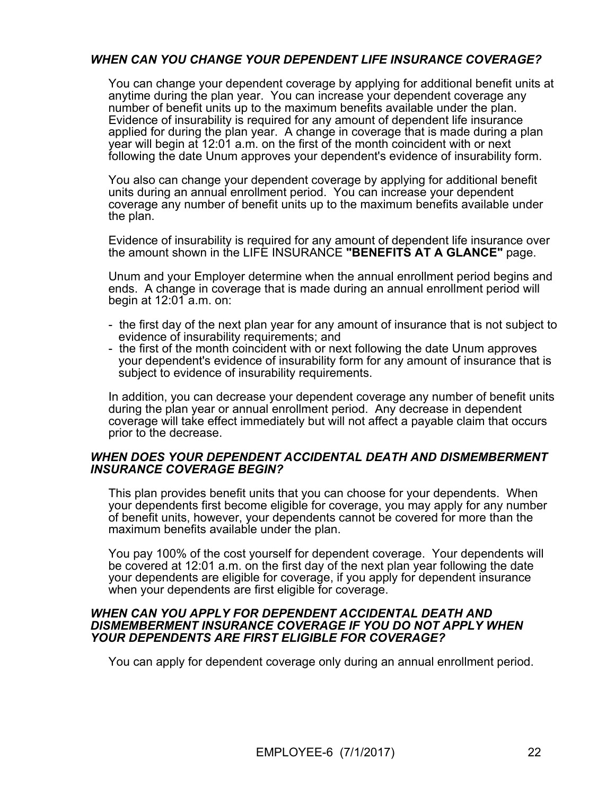## *WHEN CAN YOU CHANGE YOUR DEPENDENT LIFE INSURANCE COVERAGE?*

You can change your dependent coverage by applying for additional benefit units at anytime during the plan year. You can increase your dependent coverage any number of benefit units up to the maximum benefits available under the plan. Evidence of insurability is required for any amount of dependent life insurance applied for during the plan year. A change in coverage that is made during a plan year will begin at 12:01 a.m. on the first of the month coincident with or next following the date Unum approves your dependent's evidence of insurability form.

You also can change your dependent coverage by applying for additional benefit units during an annual enrollment period. You can increase your dependent coverage any number of benefit units up to the maximum benefits available under the plan.

Evidence of insurability is required for any amount of dependent life insurance over the amount shown in the LIFE INSURANCE **"BENEFITS AT A GLANCE"** page.

Unum and your Employer determine when the annual enrollment period begins and ends. A change in coverage that is made during an annual enrollment period will begin at 12:01 a.m. on:

- the first day of the next plan year for any amount of insurance that is not subject to evidence of insurability requirements; and
- the first of the month coincident with or next following the date Unum approves your dependent's evidence of insurability form for any amount of insurance that is subject to evidence of insurability requirements.

In addition, you can decrease your dependent coverage any number of benefit units during the plan year or annual enrollment period. Any decrease in dependent coverage will take effect immediately but will not affect a payable claim that occurs prior to the decrease.

#### *WHEN DOES YOUR DEPENDENT ACCIDENTAL DEATH AND DISMEMBERMENT INSURANCE COVERAGE BEGIN?*

This plan provides benefit units that you can choose for your dependents. When your dependents first become eligible for coverage, you may apply for any number of benefit units, however, your dependents cannot be covered for more than the maximum benefits available under the plan.

You pay 100% of the cost yourself for dependent coverage. Your dependents will be covered at 12:01 a.m. on the first day of the next plan year following the date your dependents are eligible for coverage, if you apply for dependent insurance when your dependents are first eligible for coverage.

#### *WHEN CAN YOU APPLY FOR DEPENDENT ACCIDENTAL DEATH AND DISMEMBERMENT INSURANCE COVERAGE IF YOU DO NOT APPLY WHEN YOUR DEPENDENTS ARE FIRST ELIGIBLE FOR COVERAGE?*

You can apply for dependent coverage only during an annual enrollment period.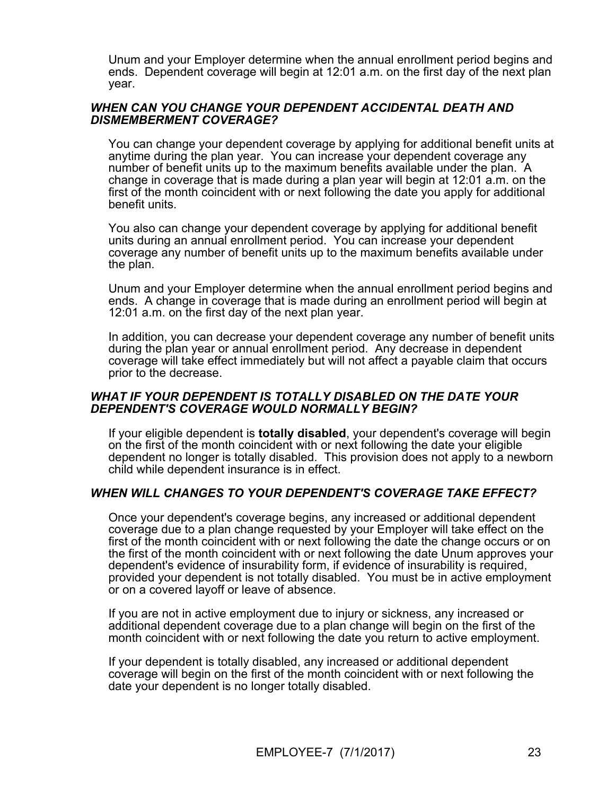Unum and your Employer determine when the annual enrollment period begins and ends. Dependent coverage will begin at 12:01 a.m. on the first day of the next plan year.

#### *WHEN CAN YOU CHANGE YOUR DEPENDENT ACCIDENTAL DEATH AND DISMEMBERMENT COVERAGE?*

You can change your dependent coverage by applying for additional benefit units at anytime during the plan year. You can increase your dependent coverage any number of benefit units up to the maximum benefits available under the plan. A change in coverage that is made during a plan year will begin at 12:01 a.m. on the first of the month coincident with or next following the date you apply for additional benefit units.

You also can change your dependent coverage by applying for additional benefit units during an annual enrollment period. You can increase your dependent coverage any number of benefit units up to the maximum benefits available under the plan.

Unum and your Employer determine when the annual enrollment period begins and ends. A change in coverage that is made during an enrollment period will begin at 12:01 a.m. on the first day of the next plan year.

In addition, you can decrease your dependent coverage any number of benefit units during the plan year or annual enrollment period. Any decrease in dependent coverage will take effect immediately but will not affect a payable claim that occurs prior to the decrease.

#### *WHAT IF YOUR DEPENDENT IS TOTALLY DISABLED ON THE DATE YOUR DEPENDENT'S COVERAGE WOULD NORMALLY BEGIN?*

If your eligible dependent is **totally disabled**, your dependent's coverage will begin on the first of the month coincident with or next following the date your eligible dependent no longer is totally disabled. This provision does not apply to a newborn child while dependent insurance is in effect.

### *WHEN WILL CHANGES TO YOUR DEPENDENT'S COVERAGE TAKE EFFECT?*

Once your dependent's coverage begins, any increased or additional dependent coverage due to a plan change requested by your Employer will take effect on the first of the month coincident with or next following the date the change occurs or on the first of the month coincident with or next following the date Unum approves your dependent's evidence of insurability form, if evidence of insurability is required, provided your dependent is not totally disabled. You must be in active employment or on a covered layoff or leave of absence.

If you are not in active employment due to injury or sickness, any increased or additional dependent coverage due to a plan change will begin on the first of the month coincident with or next following the date you return to active employment.

If your dependent is totally disabled, any increased or additional dependent coverage will begin on the first of the month coincident with or next following the date your dependent is no longer totally disabled.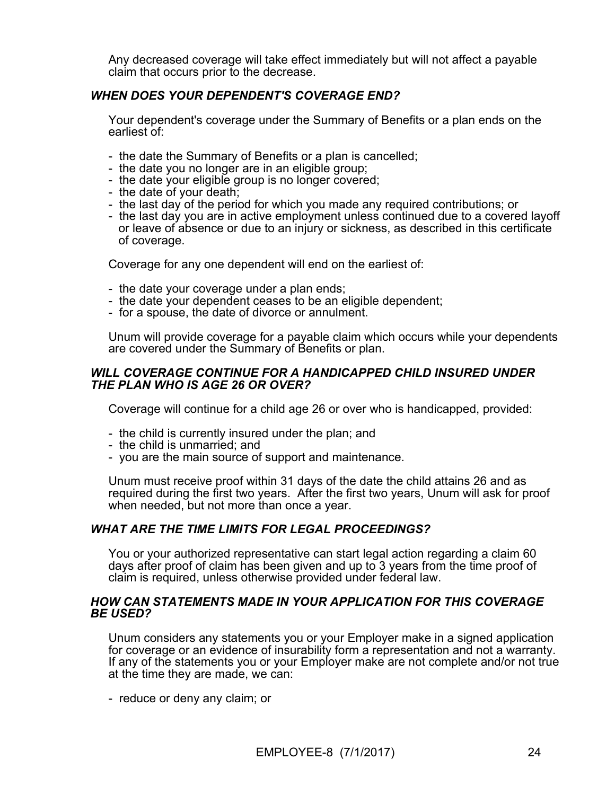Any decreased coverage will take effect immediately but will not affect a payable claim that occurs prior to the decrease.

### *WHEN DOES YOUR DEPENDENT'S COVERAGE END?*

Your dependent's coverage under the Summary of Benefits or a plan ends on the earliest of:

- the date the Summary of Benefits or a plan is cancelled;
- the date you no longer are in an eligible group;
- the date your eligible group is no longer covered;
- the date of your death;
- the last day of the period for which you made any required contributions; or
- the last day you are in active employment unless continued due to a covered layoff or leave of absence or due to an injury or sickness, as described in this certificate of coverage.

Coverage for any one dependent will end on the earliest of:

- the date your coverage under a plan ends;
- the date your dependent ceases to be an eligible dependent;
- for a spouse, the date of divorce or annulment.

Unum will provide coverage for a payable claim which occurs while your dependents are covered under the Summary of Benefits or plan.

#### *WILL COVERAGE CONTINUE FOR A HANDICAPPED CHILD INSURED UNDER THE PLAN WHO IS AGE 26 OR OVER?*

Coverage will continue for a child age 26 or over who is handicapped, provided:

- the child is currently insured under the plan; and
- the child is unmarried; and
- you are the main source of support and maintenance.

Unum must receive proof within 31 days of the date the child attains 26 and as required during the first two years. After the first two years, Unum will ask for proof when needed, but not more than once a year.

#### *WHAT ARE THE TIME LIMITS FOR LEGAL PROCEEDINGS?*

You or your authorized representative can start legal action regarding a claim 60 days after proof of claim has been given and up to 3 years from the time proof of claim is required, unless otherwise provided under federal law.

#### *HOW CAN STATEMENTS MADE IN YOUR APPLICATION FOR THIS COVERAGE BE USED?*

Unum considers any statements you or your Employer make in a signed application for coverage or an evidence of insurability form a representation and not a warranty. If any of the statements you or your Employer make are not complete and/or not true at the time they are made, we can:

- reduce or deny any claim; or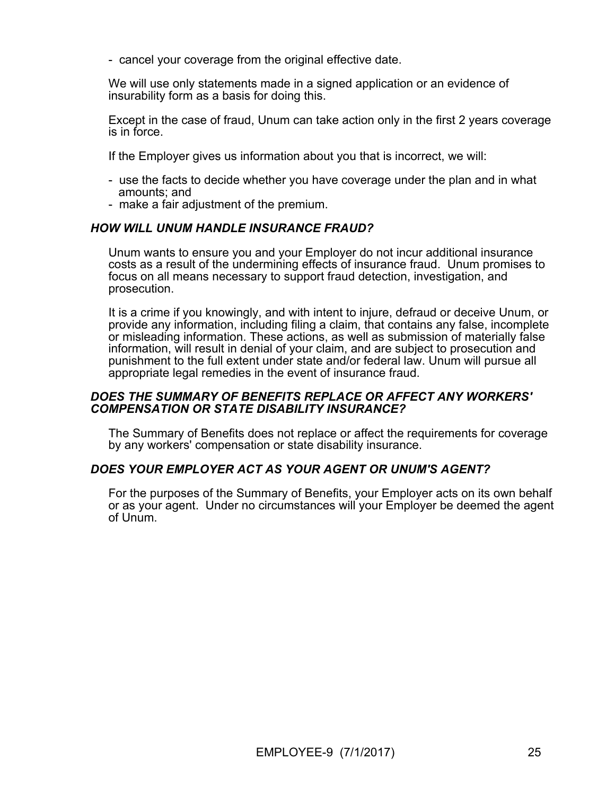- cancel your coverage from the original effective date.

We will use only statements made in a signed application or an evidence of insurability form as a basis for doing this.

Except in the case of fraud, Unum can take action only in the first 2 years coverage is in force.

If the Employer gives us information about you that is incorrect, we will:

- use the facts to decide whether you have coverage under the plan and in what amounts; and
- make a fair adjustment of the premium.

### *HOW WILL UNUM HANDLE INSURANCE FRAUD?*

Unum wants to ensure you and your Employer do not incur additional insurance costs as a result of the undermining effects of insurance fraud. Unum promises to focus on all means necessary to support fraud detection, investigation, and prosecution.

It is a crime if you knowingly, and with intent to injure, defraud or deceive Unum, or provide any information, including filing a claim, that contains any false, incomplete or misleading information. These actions, as well as submission of materially false information, will result in denial of your claim, and are subject to prosecution and punishment to the full extent under state and/or federal law. Unum will pursue all appropriate legal remedies in the event of insurance fraud.

#### *DOES THE SUMMARY OF BENEFITS REPLACE OR AFFECT ANY WORKERS' COMPENSATION OR STATE DISABILITY INSURANCE?*

The Summary of Benefits does not replace or affect the requirements for coverage by any workers' compensation or state disability insurance.

#### *DOES YOUR EMPLOYER ACT AS YOUR AGENT OR UNUM'S AGENT?*

For the purposes of the Summary of Benefits, your Employer acts on its own behalf or as your agent. Under no circumstances will your Employer be deemed the agent of Unum.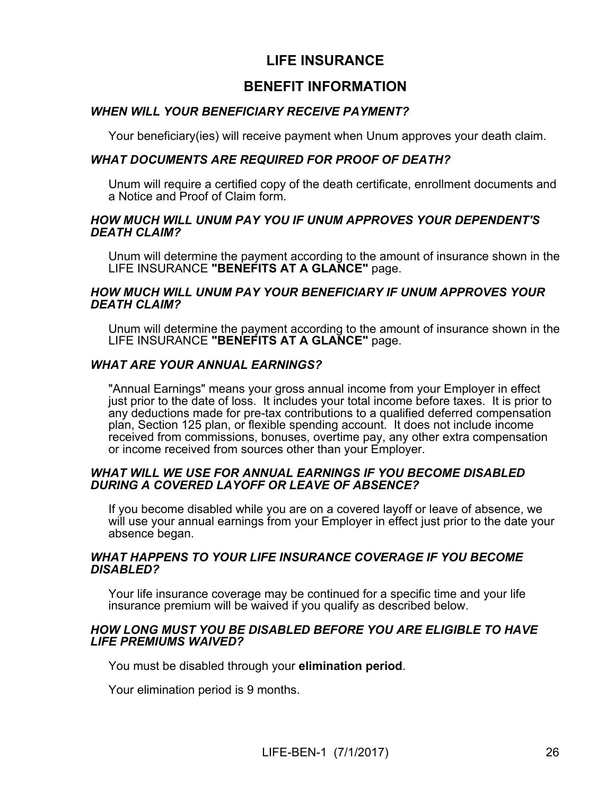## **LIFE INSURANCE**

## **BENEFIT INFORMATION**

### *WHEN WILL YOUR BENEFICIARY RECEIVE PAYMENT?*

Your beneficiary(ies) will receive payment when Unum approves your death claim.

### *WHAT DOCUMENTS ARE REQUIRED FOR PROOF OF DEATH?*

Unum will require a certified copy of the death certificate, enrollment documents and a Notice and Proof of Claim form.

#### *HOW MUCH WILL UNUM PAY YOU IF UNUM APPROVES YOUR DEPENDENT'S DEATH CLAIM?*

Unum will determine the payment according to the amount of insurance shown in the LIFE INSURANCE **"BENEFITS AT A GLANCE"** page.

#### *HOW MUCH WILL UNUM PAY YOUR BENEFICIARY IF UNUM APPROVES YOUR DEATH CLAIM?*

Unum will determine the payment according to the amount of insurance shown in the LIFE INSURANCE **"BENEFITS AT A GLANCE"** page.

### *WHAT ARE YOUR ANNUAL EARNINGS?*

"Annual Earnings" means your gross annual income from your Employer in effect just prior to the date of loss. It includes your total income before taxes. It is prior to any deductions made for pre-tax contributions to a qualified deferred compensation plan, Section 125 plan, or flexible spending account. It does not include income received from commissions, bonuses, overtime pay, any other extra compensation or income received from sources other than your Employer.

#### *WHAT WILL WE USE FOR ANNUAL EARNINGS IF YOU BECOME DISABLED DURING A COVERED LAYOFF OR LEAVE OF ABSENCE?*

If you become disabled while you are on a covered layoff or leave of absence, we will use your annual earnings from your Employer in effect just prior to the date your absence began.

#### *WHAT HAPPENS TO YOUR LIFE INSURANCE COVERAGE IF YOU BECOME DISABLED?*

Your life insurance coverage may be continued for a specific time and your life insurance premium will be waived if you qualify as described below.

#### *HOW LONG MUST YOU BE DISABLED BEFORE YOU ARE ELIGIBLE TO HAVE LIFE PREMIUMS WAIVED?*

You must be disabled through your **elimination period**.

Your elimination period is 9 months.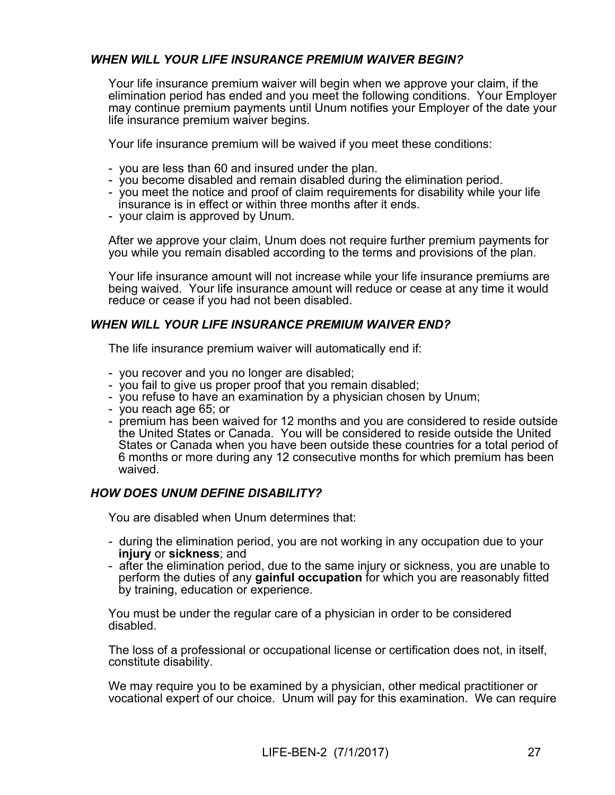### *WHEN WILL YOUR LIFE INSURANCE PREMIUM WAIVER BEGIN?*

Your life insurance premium waiver will begin when we approve your claim, if the elimination period has ended and you meet the following conditions. Your Employer may continue premium payments until Unum notifies your Employer of the date your life insurance premium waiver begins.

Your life insurance premium will be waived if you meet these conditions:

- you are less than 60 and insured under the plan.
- you become disabled and remain disabled during the elimination period.
- you meet the notice and proof of claim requirements for disability while your life insurance is in effect or within three months after it ends.
- your claim is approved by Unum.

After we approve your claim, Unum does not require further premium payments for you while you remain disabled according to the terms and provisions of the plan.

Your life insurance amount will not increase while your life insurance premiums are being waived. Your life insurance amount will reduce or cease at any time it would reduce or cease if you had not been disabled.

### *WHEN WILL YOUR LIFE INSURANCE PREMIUM WAIVER END?*

The life insurance premium waiver will automatically end if:

- you recover and you no longer are disabled;
- you fail to give us proper proof that you remain disabled;
- you refuse to have an examination by a physician chosen by Unum;
- you reach age 65; or
- premium has been waived for 12 months and you are considered to reside outside the United States or Canada. You will be considered to reside outside the United States or Canada when you have been outside these countries for a total period of 6 months or more during any 12 consecutive months for which premium has been waived.

### *HOW DOES UNUM DEFINE DISABILITY?*

You are disabled when Unum determines that:

- during the elimination period, you are not working in any occupation due to your **injury** or **sickness**; and
- after the elimination period, due to the same injury or sickness, you are unable to perform the duties of any **gainful occupation** for which you are reasonably fitted by training, education or experience.

You must be under the regular care of a physician in order to be considered disabled.

The loss of a professional or occupational license or certification does not, in itself, constitute disability.

We may require you to be examined by a physician, other medical practitioner or vocational expert of our choice. Unum will pay for this examination. We can require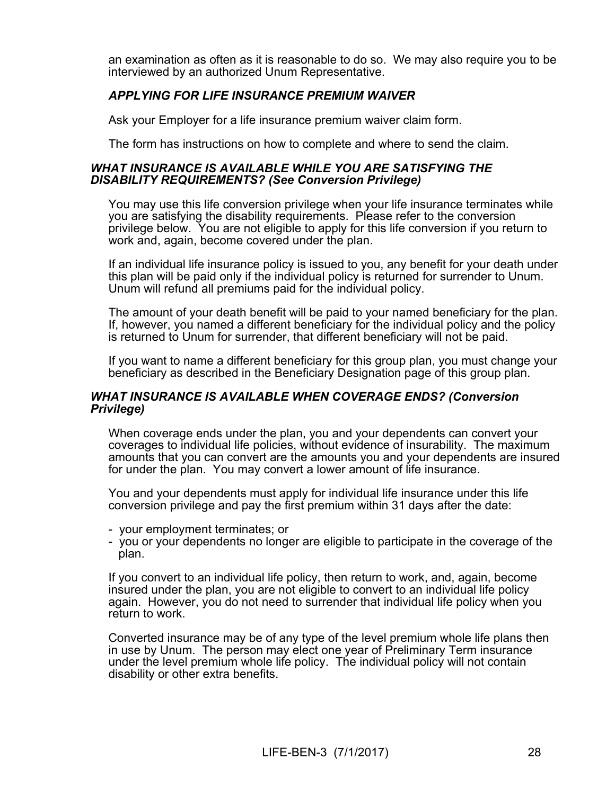an examination as often as it is reasonable to do so. We may also require you to be interviewed by an authorized Unum Representative.

### *APPLYING FOR LIFE INSURANCE PREMIUM WAIVER*

Ask your Employer for a life insurance premium waiver claim form.

The form has instructions on how to complete and where to send the claim.

#### *WHAT INSURANCE IS AVAILABLE WHILE YOU ARE SATISFYING THE DISABILITY REQUIREMENTS? (See Conversion Privilege)*

You may use this life conversion privilege when your life insurance terminates while you are satisfying the disability requirements. Please refer to the conversion privilege below. You are not eligible to apply for this life conversion if you return to work and, again, become covered under the plan.

If an individual life insurance policy is issued to you, any benefit for your death under this plan will be paid only if the individual policy is returned for surrender to Unum. Unum will refund all premiums paid for the individual policy.

The amount of your death benefit will be paid to your named beneficiary for the plan. If, however, you named a different beneficiary for the individual policy and the policy is returned to Unum for surrender, that different beneficiary will not be paid.

If you want to name a different beneficiary for this group plan, you must change your beneficiary as described in the Beneficiary Designation page of this group plan.

#### *WHAT INSURANCE IS AVAILABLE WHEN COVERAGE ENDS? (Conversion Privilege)*

When coverage ends under the plan, you and your dependents can convert your coverages to individual life policies, without evidence of insurability. The maximum amounts that you can convert are the amounts you and your dependents are insured for under the plan. You may convert a lower amount of life insurance.

You and your dependents must apply for individual life insurance under this life conversion privilege and pay the first premium within 31 days after the date:

- your employment terminates; or
- you or your dependents no longer are eligible to participate in the coverage of the plan.

If you convert to an individual life policy, then return to work, and, again, become insured under the plan, you are not eligible to convert to an individual life policy again. However, you do not need to surrender that individual life policy when you return to work.

Converted insurance may be of any type of the level premium whole life plans then in use by Unum. The person may elect one year of Preliminary Term insurance under the level premium whole life policy. The individual policy will not contain disability or other extra benefits.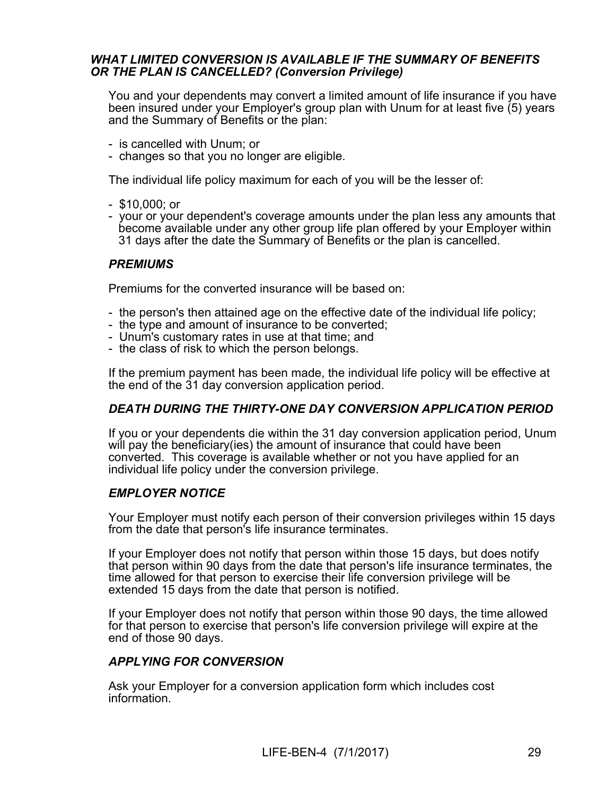#### *WHAT LIMITED CONVERSION IS AVAILABLE IF THE SUMMARY OF BENEFITS OR THE PLAN IS CANCELLED? (Conversion Privilege)*

You and your dependents may convert a limited amount of life insurance if you have been insured under your Employer's group plan with Unum for at least five (5) years and the Summary of Benefits or the plan:

- is cancelled with Unum; or
- changes so that you no longer are eligible.

The individual life policy maximum for each of you will be the lesser of:

- \$10,000; or
- your or your dependent's coverage amounts under the plan less any amounts that become available under any other group life plan offered by your Employer within 31 days after the date the Summary of Benefits or the plan is cancelled.

### *PREMIUMS*

Premiums for the converted insurance will be based on:

- the person's then attained age on the effective date of the individual life policy;
- the type and amount of insurance to be converted;
- Unum's customary rates in use at that time; and
- the class of risk to which the person belongs.

If the premium payment has been made, the individual life policy will be effective at the end of the 31 day conversion application period.

### *DEATH DURING THE THIRTY-ONE DAY CONVERSION APPLICATION PERIOD*

If you or your dependents die within the 31 day conversion application period, Unum will pay the beneficiary(ies) the amount of insurance that could have been converted. This coverage is available whether or not you have applied for an individual life policy under the conversion privilege.

### *EMPLOYER NOTICE*

Your Employer must notify each person of their conversion privileges within 15 days from the date that person's life insurance terminates.

If your Employer does not notify that person within those 15 days, but does notify that person within 90 days from the date that person's life insurance terminates, the time allowed for that person to exercise their life conversion privilege will be extended 15 days from the date that person is notified.

If your Employer does not notify that person within those 90 days, the time allowed for that person to exercise that person's life conversion privilege will expire at the end of those 90 days.

#### *APPLYING FOR CONVERSION*

Ask your Employer for a conversion application form which includes cost information.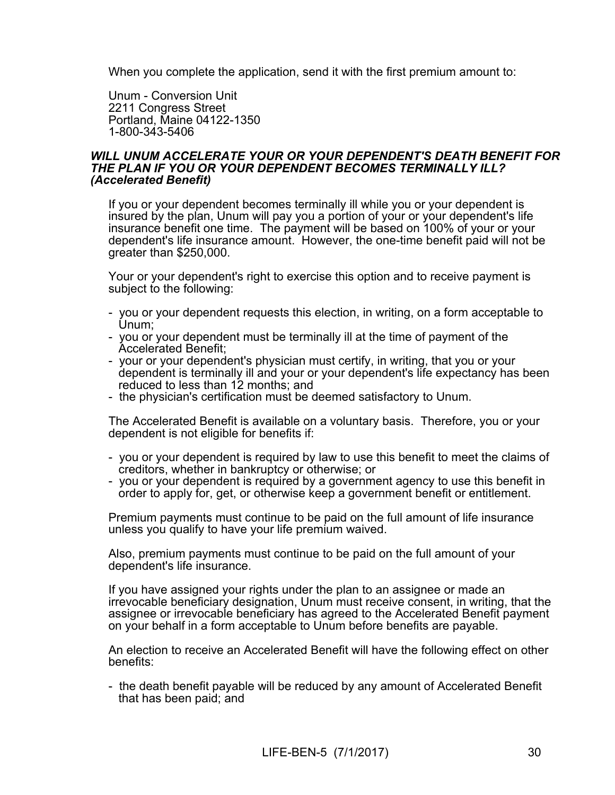When you complete the application, send it with the first premium amount to:

Unum - Conversion Unit 2211 Congress Street Portland, Maine 04122-1350 1-800-343-5406

#### *WILL UNUM ACCELERATE YOUR OR YOUR DEPENDENT'S DEATH BENEFIT FOR THE PLAN IF YOU OR YOUR DEPENDENT BECOMES TERMINALLY ILL? (Accelerated Benefit)*

If you or your dependent becomes terminally ill while you or your dependent is insured by the plan, Unum will pay you a portion of your or your dependent's life insurance benefit one time. The payment will be based on 100% of your or your dependent's life insurance amount. However, the one-time benefit paid will not be greater than \$250,000.

Your or your dependent's right to exercise this option and to receive payment is subject to the following:

- you or your dependent requests this election, in writing, on a form acceptable to Unum;
- you or your dependent must be terminally ill at the time of payment of the Accelerated Benefit;
- your or your dependent's physician must certify, in writing, that you or your dependent is terminally ill and your or your dependent's life expectancy has been reduced to less than 12 months; and
- the physician's certification must be deemed satisfactory to Unum.

The Accelerated Benefit is available on a voluntary basis. Therefore, you or your dependent is not eligible for benefits if:

- you or your dependent is required by law to use this benefit to meet the claims of creditors, whether in bankruptcy or otherwise; or
- you or your dependent is required by a government agency to use this benefit in order to apply for, get, or otherwise keep a government benefit or entitlement.

Premium payments must continue to be paid on the full amount of life insurance unless you qualify to have your life premium waived.

Also, premium payments must continue to be paid on the full amount of your dependent's life insurance.

If you have assigned your rights under the plan to an assignee or made an irrevocable beneficiary designation, Unum must receive consent, in writing, that the assignee or irrevocable beneficiary has agreed to the Accelerated Benefit payment on your behalf in a form acceptable to Unum before benefits are payable.

An election to receive an Accelerated Benefit will have the following effect on other benefits:

- the death benefit payable will be reduced by any amount of Accelerated Benefit that has been paid; and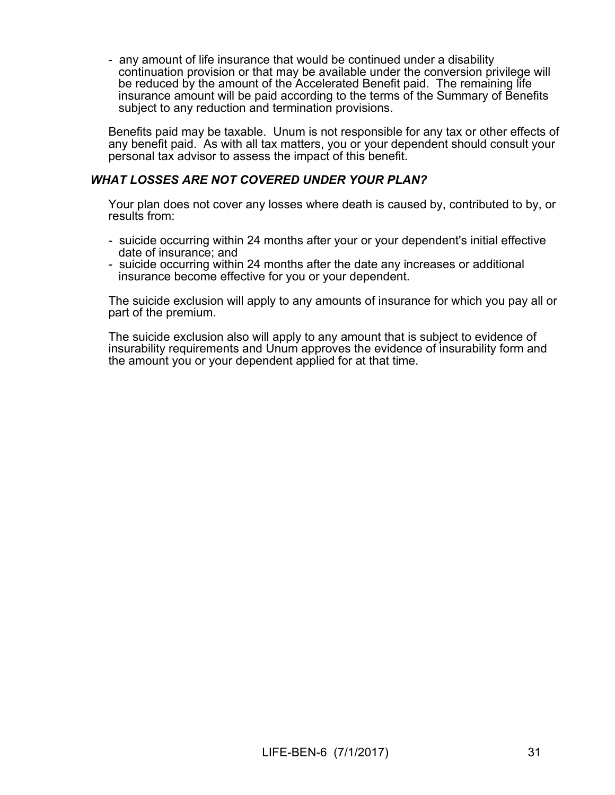- any amount of life insurance that would be continued under a disability continuation provision or that may be available under the conversion privilege will be reduced by the amount of the Accelerated Benefit paid. The remaining life insurance amount will be paid according to the terms of the Summary of Benefits subject to any reduction and termination provisions.

Benefits paid may be taxable. Unum is not responsible for any tax or other effects of any benefit paid. As with all tax matters, you or your dependent should consult your personal tax advisor to assess the impact of this benefit.

### *WHAT LOSSES ARE NOT COVERED UNDER YOUR PLAN?*

Your plan does not cover any losses where death is caused by, contributed to by, or results from:

- suicide occurring within 24 months after your or your dependent's initial effective date of insurance; and
- suicide occurring within 24 months after the date any increases or additional insurance become effective for you or your dependent.

The suicide exclusion will apply to any amounts of insurance for which you pay all or part of the premium.

The suicide exclusion also will apply to any amount that is subject to evidence of insurability requirements and Unum approves the evidence of insurability form and the amount you or your dependent applied for at that time.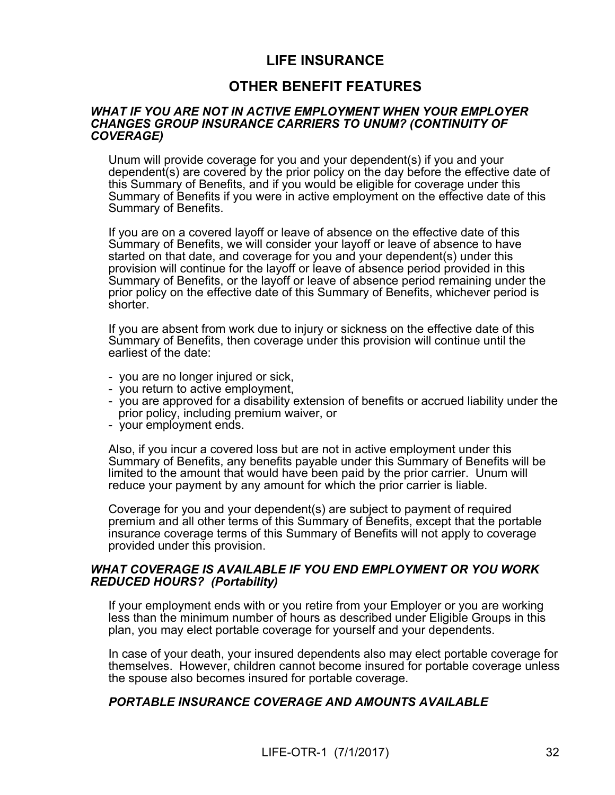## **LIFE INSURANCE**

## **OTHER BENEFIT FEATURES**

#### *WHAT IF YOU ARE NOT IN ACTIVE EMPLOYMENT WHEN YOUR EMPLOYER CHANGES GROUP INSURANCE CARRIERS TO UNUM? (CONTINUITY OF COVERAGE)*

Unum will provide coverage for you and your dependent(s) if you and your dependent(s) are covered by the prior policy on the day before the effective date of this Summary of Benefits, and if you would be eligible for coverage under this Summary of Benefits if you were in active employment on the effective date of this Summary of Benefits.

If you are on a covered layoff or leave of absence on the effective date of this Summary of Benefits, we will consider your layoff or leave of absence to have started on that date, and coverage for you and your dependent(s) under this provision will continue for the layoff or leave of absence period provided in this Summary of Benefits, or the layoff or leave of absence period remaining under the prior policy on the effective date of this Summary of Benefits, whichever period is shorter.

If you are absent from work due to injury or sickness on the effective date of this Summary of Benefits, then coverage under this provision will continue until the earliest of the date:

- you are no longer injured or sick,
- you return to active employment,
- you are approved for a disability extension of benefits or accrued liability under the prior policy, including premium waiver, or
- your employment ends.

Also, if you incur a covered loss but are not in active employment under this Summary of Benefits, any benefits payable under this Summary of Benefits will be limited to the amount that would have been paid by the prior carrier. Unum will reduce your payment by any amount for which the prior carrier is liable.

Coverage for you and your dependent(s) are subject to payment of required premium and all other terms of this Summary of Benefits, except that the portable insurance coverage terms of this Summary of Benefits will not apply to coverage provided under this provision.

#### *WHAT COVERAGE IS AVAILABLE IF YOU END EMPLOYMENT OR YOU WORK REDUCED HOURS? (Portability)*

If your employment ends with or you retire from your Employer or you are working less than the minimum number of hours as described under Eligible Groups in this plan, you may elect portable coverage for yourself and your dependents.

In case of your death, your insured dependents also may elect portable coverage for themselves. However, children cannot become insured for portable coverage unless the spouse also becomes insured for portable coverage.

#### *PORTABLE INSURANCE COVERAGE AND AMOUNTS AVAILABLE*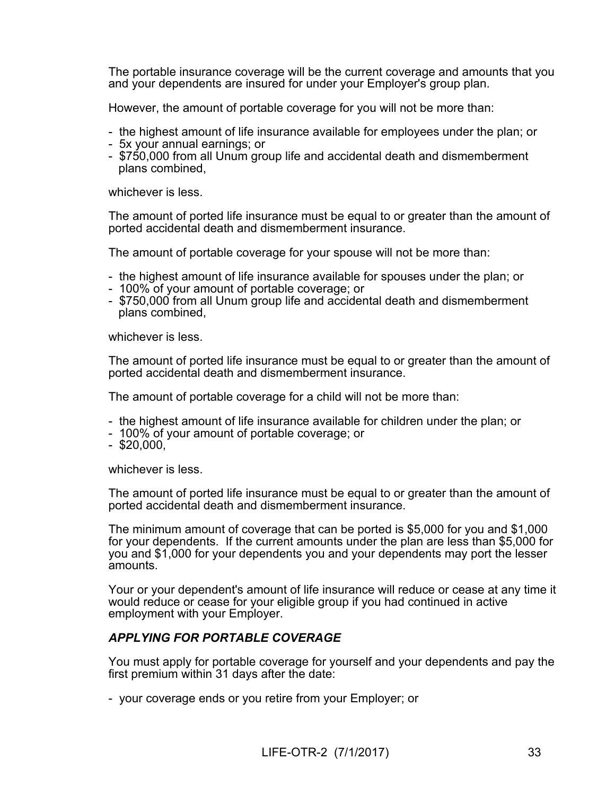The portable insurance coverage will be the current coverage and amounts that you and your dependents are insured for under your Employer's group plan.

However, the amount of portable coverage for you will not be more than:

- the highest amount of life insurance available for employees under the plan; or
- 5x your annual earnings; or
- \$750,000 from all Unum group life and accidental death and dismemberment plans combined,

whichever is less.

The amount of ported life insurance must be equal to or greater than the amount of ported accidental death and dismemberment insurance.

The amount of portable coverage for your spouse will not be more than:

- the highest amount of life insurance available for spouses under the plan; or
- 100% of your amount of portable coverage; or
- \$750,000 from all Unum group life and accidental death and dismemberment plans combined,

whichever is less.

The amount of ported life insurance must be equal to or greater than the amount of ported accidental death and dismemberment insurance.

The amount of portable coverage for a child will not be more than:

- the highest amount of life insurance available for children under the plan; or
- 100% of your amount of portable coverage; or
- $-$  \$20,000,

whichever is less.

The amount of ported life insurance must be equal to or greater than the amount of ported accidental death and dismemberment insurance.

The minimum amount of coverage that can be ported is \$5,000 for you and \$1,000 for your dependents. If the current amounts under the plan are less than \$5,000 for you and \$1,000 for your dependents you and your dependents may port the lesser amounts.

Your or your dependent's amount of life insurance will reduce or cease at any time it would reduce or cease for your eligible group if you had continued in active employment with your Employer.

#### *APPLYING FOR PORTABLE COVERAGE*

You must apply for portable coverage for yourself and your dependents and pay the first premium within 31 days after the date:

- your coverage ends or you retire from your Employer; or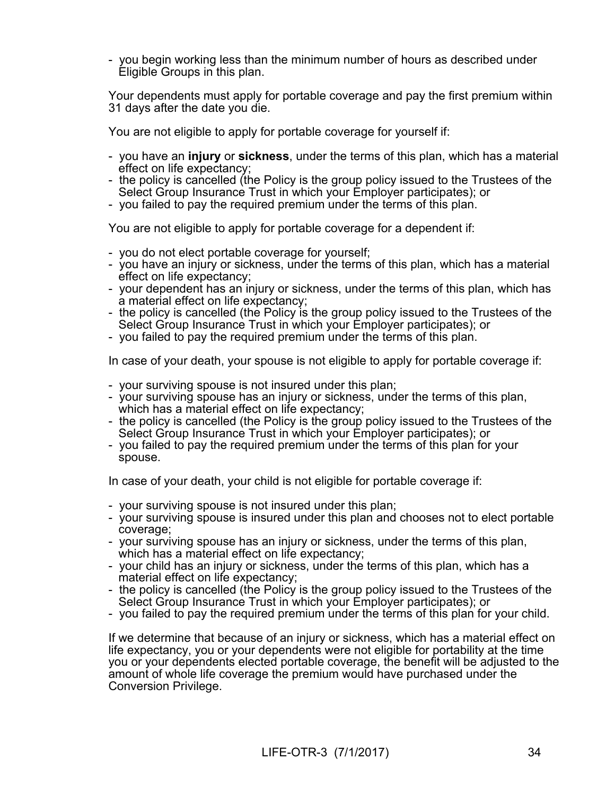- you begin working less than the minimum number of hours as described under Eligible Groups in this plan.

Your dependents must apply for portable coverage and pay the first premium within 31 days after the date you die.

You are not eligible to apply for portable coverage for yourself if:

- you have an **injury** or **sickness**, under the terms of this plan, which has a material effect on life expectancy;
- the policy is cancelled (the Policy is the group policy issued to the Trustees of the Select Group Insurance Trust in which your Employer participates); or
- you failed to pay the required premium under the terms of this plan.

You are not eligible to apply for portable coverage for a dependent if:

- you do not elect portable coverage for yourself;
- you have an injury or sickness, under the terms of this plan, which has a material effect on life expectancy;
- your dependent has an injury or sickness, under the terms of this plan, which has a material effect on life expectancy;
- the policy is cancelled (the Policy is the group policy issued to the Trustees of the Select Group Insurance Trust in which your Employer participates); or
- you failed to pay the required premium under the terms of this plan.

In case of your death, your spouse is not eligible to apply for portable coverage if:

- your surviving spouse is not insured under this plan;
- your surviving spouse has an injury or sickness, under the terms of this plan, which has a material effect on life expectancy;
- the policy is cancelled (the Policy is the group policy issued to the Trustees of the Select Group Insurance Trust in which your Employer participates); or
- you failed to pay the required premium under the terms of this plan for your spouse.

In case of your death, your child is not eligible for portable coverage if:

- your surviving spouse is not insured under this plan;
- your surviving spouse is insured under this plan and chooses not to elect portable coverage;
- your surviving spouse has an injury or sickness, under the terms of this plan, which has a material effect on life expectancy;
- your child has an injury or sickness, under the terms of this plan, which has a material effect on life expectancy;
- the policy is cancelled (the Policy is the group policy issued to the Trustees of the Select Group Insurance Trust in which your Employer participates); or
- you failed to pay the required premium under the terms of this plan for your child.

If we determine that because of an injury or sickness, which has a material effect on life expectancy, you or your dependents were not eligible for portability at the time you or your dependents elected portable coverage, the benefit will be adjusted to the amount of whole life coverage the premium would have purchased under the Conversion Privilege.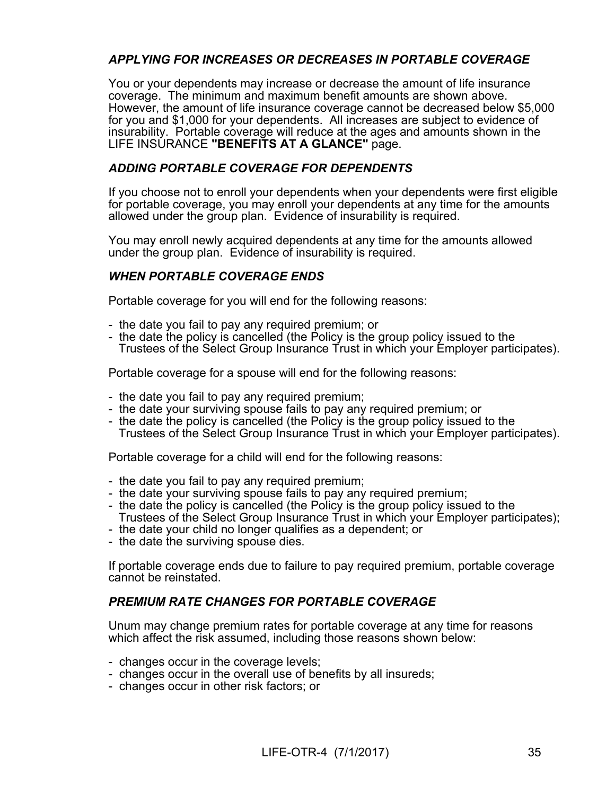## *APPLYING FOR INCREASES OR DECREASES IN PORTABLE COVERAGE*

You or your dependents may increase or decrease the amount of life insurance coverage. The minimum and maximum benefit amounts are shown above. However, the amount of life insurance coverage cannot be decreased below \$5,000 for you and \$1,000 for your dependents. All increases are subject to evidence of insurability. Portable coverage will reduce at the ages and amounts shown in the LIFE INSURANCE **"BENEFITS AT A GLANCE"** page.

### *ADDING PORTABLE COVERAGE FOR DEPENDENTS*

If you choose not to enroll your dependents when your dependents were first eligible for portable coverage, you may enroll your dependents at any time for the amounts allowed under the group plan. Evidence of insurability is required.

You may enroll newly acquired dependents at any time for the amounts allowed under the group plan. Evidence of insurability is required.

## *WHEN PORTABLE COVERAGE ENDS*

Portable coverage for you will end for the following reasons:

- the date you fail to pay any required premium; or
- the date the policy is cancelled (the Policy is the group policy issued to the Trustees of the Select Group Insurance Trust in which your Employer participates).

Portable coverage for a spouse will end for the following reasons:

- the date you fail to pay any required premium;
- the date your surviving spouse fails to pay any required premium; or
- the date the policy is cancelled (the Policy is the group policy issued to the Trustees of the Select Group Insurance Trust in which your Employer participates).

Portable coverage for a child will end for the following reasons:

- the date you fail to pay any required premium;
- the date your surviving spouse fails to pay any required premium;
- the date the policy is cancelled (the Policy is the group policy issued to the Trustees of the Select Group Insurance Trust in which your Employer participates);
- the date your child no longer qualifies as a dependent; or
- the date the surviving spouse dies.

If portable coverage ends due to failure to pay required premium, portable coverage cannot be reinstated.

### *PREMIUM RATE CHANGES FOR PORTABLE COVERAGE*

Unum may change premium rates for portable coverage at any time for reasons which affect the risk assumed, including those reasons shown below:

- changes occur in the coverage levels;
- changes occur in the overall use of benefits by all insureds;
- changes occur in other risk factors; or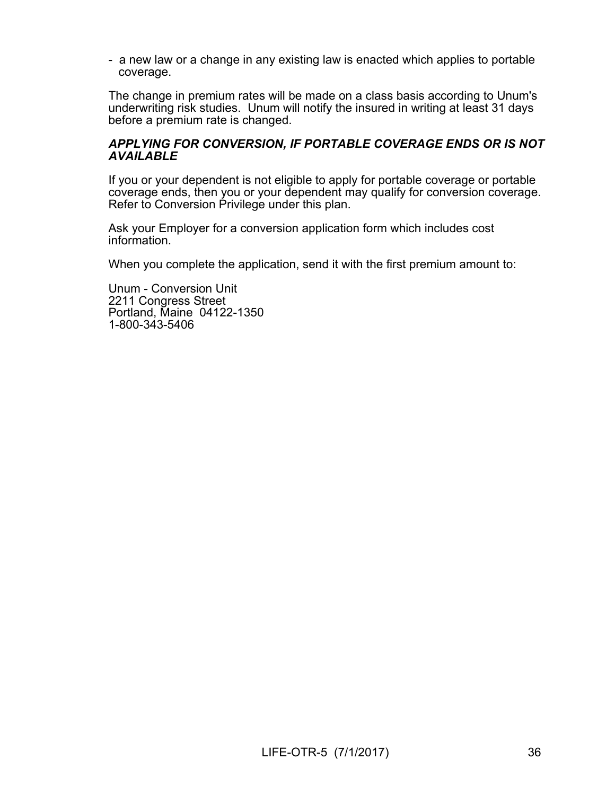- a new law or a change in any existing law is enacted which applies to portable coverage.

The change in premium rates will be made on a class basis according to Unum's underwriting risk studies. Unum will notify the insured in writing at least 31 days before a premium rate is changed.

#### *APPLYING FOR CONVERSION, IF PORTABLE COVERAGE ENDS OR IS NOT AVAILABLE*

If you or your dependent is not eligible to apply for portable coverage or portable coverage ends, then you or your dependent may qualify for conversion coverage. Refer to Conversion Privilege under this plan.

Ask your Employer for a conversion application form which includes cost information.

When you complete the application, send it with the first premium amount to:

Unum - Conversion Unit 2211 Congress Street Portland, Maine 04122-1350 1-800-343-5406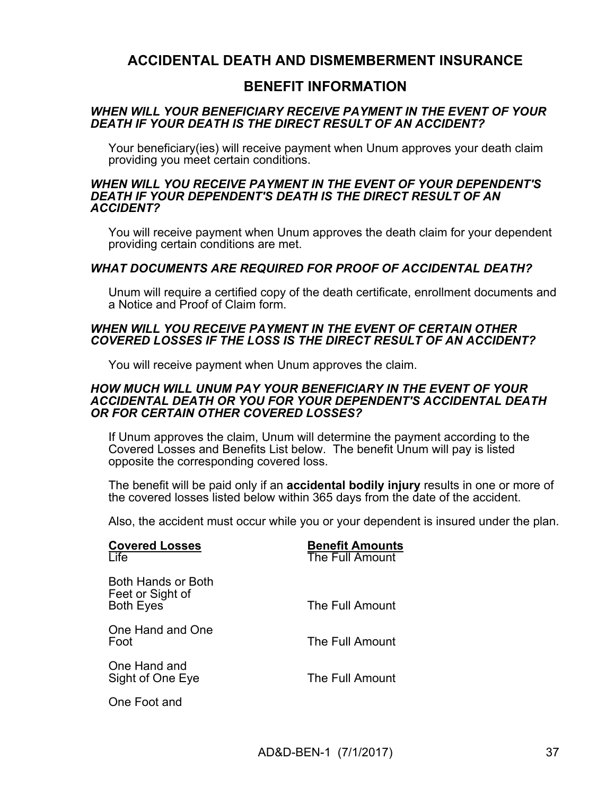## **ACCIDENTAL DEATH AND DISMEMBERMENT INSURANCE**

## **BENEFIT INFORMATION**

#### *WHEN WILL YOUR BENEFICIARY RECEIVE PAYMENT IN THE EVENT OF YOUR DEATH IF YOUR DEATH IS THE DIRECT RESULT OF AN ACCIDENT?*

Your beneficiary(ies) will receive payment when Unum approves your death claim providing you meet certain conditions.

#### *WHEN WILL YOU RECEIVE PAYMENT IN THE EVENT OF YOUR DEPENDENT'S DEATH IF YOUR DEPENDENT'S DEATH IS THE DIRECT RESULT OF AN ACCIDENT?*

You will receive payment when Unum approves the death claim for your dependent providing certain conditions are met.

### *WHAT DOCUMENTS ARE REQUIRED FOR PROOF OF ACCIDENTAL DEATH?*

Unum will require a certified copy of the death certificate, enrollment documents and a Notice and Proof of Claim form.

#### *WHEN WILL YOU RECEIVE PAYMENT IN THE EVENT OF CERTAIN OTHER COVERED LOSSES IF THE LOSS IS THE DIRECT RESULT OF AN ACCIDENT?*

You will receive payment when Unum approves the claim.

#### *HOW MUCH WILL UNUM PAY YOUR BENEFICIARY IN THE EVENT OF YOUR ACCIDENTAL DEATH OR YOU FOR YOUR DEPENDENT'S ACCIDENTAL DEATH OR FOR CERTAIN OTHER COVERED LOSSES?*

If Unum approves the claim, Unum will determine the payment according to the Covered Losses and Benefits List below. The benefit Unum will pay is listed opposite the corresponding covered loss.

The benefit will be paid only if an **accidental bodily injury** results in one or more of the covered losses listed below within 365 days from the date of the accident.

Also, the accident must occur while you or your dependent is insured under the plan.

| <b>Covered Losses</b><br>Life                              | <b>Benefit Amounts</b><br>The Full Amount |
|------------------------------------------------------------|-------------------------------------------|
| Both Hands or Both<br>Feet or Sight of<br><b>Both Eyes</b> | The Full Amount                           |
| One Hand and One<br>Foot                                   | The Full Amount                           |
| One Hand and<br>Sight of One Eye                           | The Full Amount                           |
| One Foot and                                               |                                           |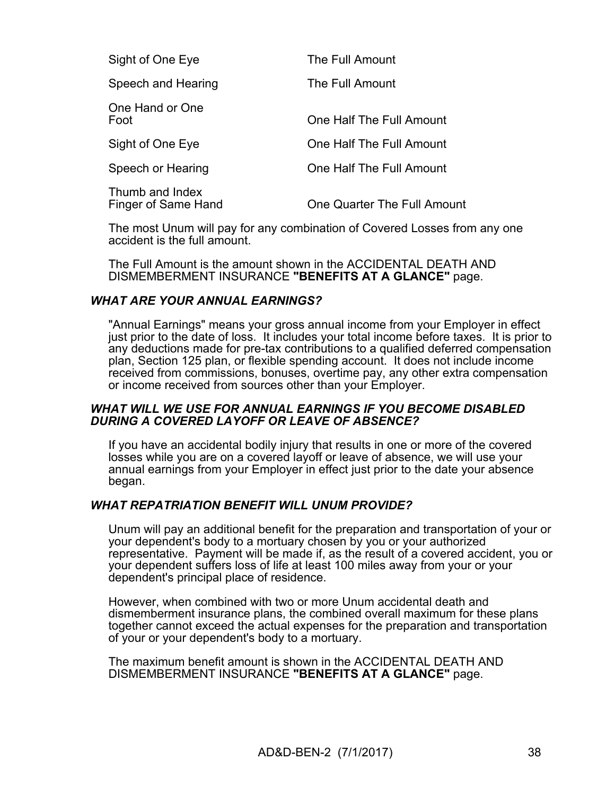| Sight of One Eye                       | The Full Amount             |
|----------------------------------------|-----------------------------|
| Speech and Hearing                     | The Full Amount             |
| One Hand or One<br>Foot                | One Half The Full Amount    |
| Sight of One Eye                       | One Half The Full Amount    |
| Speech or Hearing                      | One Half The Full Amount    |
| Thumb and Index<br>Finger of Same Hand | One Quarter The Full Amount |

The most Unum will pay for any combination of Covered Losses from any one accident is the full amount.

The Full Amount is the amount shown in the ACCIDENTAL DEATH AND DISMEMBERMENT INSURANCE **"BENEFITS AT A GLANCE"** page.

#### *WHAT ARE YOUR ANNUAL EARNINGS?*

"Annual Earnings" means your gross annual income from your Employer in effect just prior to the date of loss. It includes your total income before taxes. It is prior to any deductions made for pre-tax contributions to a qualified deferred compensation plan, Section 125 plan, or flexible spending account. It does not include income received from commissions, bonuses, overtime pay, any other extra compensation or income received from sources other than your Employer.

#### *WHAT WILL WE USE FOR ANNUAL EARNINGS IF YOU BECOME DISABLED DURING A COVERED LAYOFF OR LEAVE OF ABSENCE?*

If you have an accidental bodily injury that results in one or more of the covered losses while you are on a covered layoff or leave of absence, we will use your annual earnings from your Employer in effect just prior to the date your absence began.

#### *WHAT REPATRIATION BENEFIT WILL UNUM PROVIDE?*

Unum will pay an additional benefit for the preparation and transportation of your or your dependent's body to a mortuary chosen by you or your authorized representative. Payment will be made if, as the result of a covered accident, you or your dependent suffers loss of life at least 100 miles away from your or your dependent's principal place of residence.

However, when combined with two or more Unum accidental death and dismemberment insurance plans, the combined overall maximum for these plans together cannot exceed the actual expenses for the preparation and transportation of your or your dependent's body to a mortuary.

The maximum benefit amount is shown in the ACCIDENTAL DEATH AND DISMEMBERMENT INSURANCE **"BENEFITS AT A GLANCE"** page.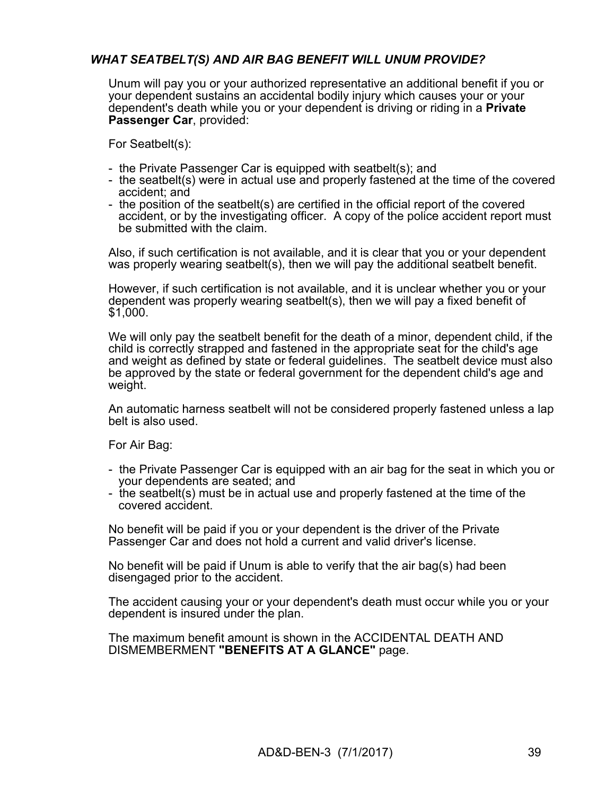## *WHAT SEATBELT(S) AND AIR BAG BENEFIT WILL UNUM PROVIDE?*

Unum will pay you or your authorized representative an additional benefit if you or your dependent sustains an accidental bodily injury which causes your or your dependent's death while you or your dependent is driving or riding in a **Private Passenger Car**, provided:

For Seatbelt(s):

- the Private Passenger Car is equipped with seatbelt(s); and
- the seatbelt(s) were in actual use and properly fastened at the time of the covered accident; and
- the position of the seatbelt(s) are certified in the official report of the covered accident, or by the investigating officer. A copy of the police accident report must be submitted with the claim.

Also, if such certification is not available, and it is clear that you or your dependent was properly wearing seatbelt(s), then we will pay the additional seatbelt benefit.

However, if such certification is not available, and it is unclear whether you or your dependent was properly wearing seatbelt(s), then we will pay a fixed benefit of \$1,000.

We will only pay the seatbelt benefit for the death of a minor, dependent child, if the child is correctly strapped and fastened in the appropriate seat for the child's age and weight as defined by state or federal guidelines. The seatbelt device must also be approved by the state or federal government for the dependent child's age and weight.

An automatic harness seatbelt will not be considered properly fastened unless a lap belt is also used.

For Air Bag:

- the Private Passenger Car is equipped with an air bag for the seat in which you or your dependents are seated; and
- the seatbelt(s) must be in actual use and properly fastened at the time of the covered accident.

No benefit will be paid if you or your dependent is the driver of the Private Passenger Car and does not hold a current and valid driver's license.

No benefit will be paid if Unum is able to verify that the air bag(s) had been disengaged prior to the accident.

The accident causing your or your dependent's death must occur while you or your dependent is insured under the plan.

The maximum benefit amount is shown in the ACCIDENTAL DEATH AND DISMEMBERMENT **"BENEFITS AT A GLANCE"** page.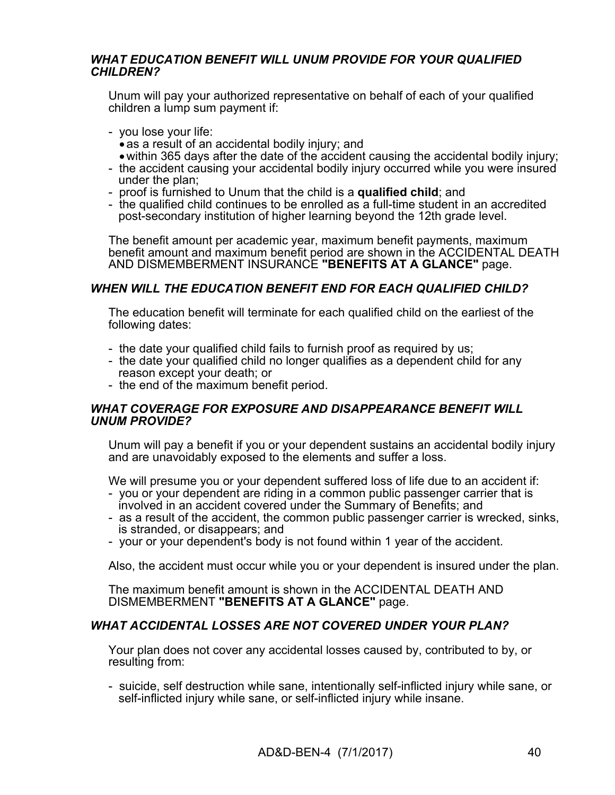### *WHAT EDUCATION BENEFIT WILL UNUM PROVIDE FOR YOUR QUALIFIED CHILDREN?*

Unum will pay your authorized representative on behalf of each of your qualified children a lump sum payment if:

- you lose your life:
- as a result of an accidental bodily injury; and within 365 days after the date of the accident causing the accidental bodily injury;
- the accident causing your accidental bodily injury occurred while you were insured under the plan;
- proof is furnished to Unum that the child is a **qualified child**; and
- the qualified child continues to be enrolled as a full-time student in an accredited post-secondary institution of higher learning beyond the 12th grade level.

The benefit amount per academic year, maximum benefit payments, maximum benefit amount and maximum benefit period are shown in the ACCIDENTAL DEATH AND DISMEMBERMENT INSURANCE **"BENEFITS AT A GLANCE"** page.

### *WHEN WILL THE EDUCATION BENEFIT END FOR EACH QUALIFIED CHILD?*

The education benefit will terminate for each qualified child on the earliest of the following dates:

- the date your qualified child fails to furnish proof as required by us;
- the date your qualified child no longer qualifies as a dependent child for any reason except your death; or
- the end of the maximum benefit period.

#### *WHAT COVERAGE FOR EXPOSURE AND DISAPPEARANCE BENEFIT WILL UNUM PROVIDE?*

Unum will pay a benefit if you or your dependent sustains an accidental bodily injury and are unavoidably exposed to the elements and suffer a loss.

We will presume you or your dependent suffered loss of life due to an accident if:

- you or your dependent are riding in a common public passenger carrier that is involved in an accident covered under the Summary of Benefits; and
- as a result of the accident, the common public passenger carrier is wrecked, sinks, is stranded, or disappears; and
- your or your dependent's body is not found within 1 year of the accident.

Also, the accident must occur while you or your dependent is insured under the plan.

The maximum benefit amount is shown in the ACCIDENTAL DEATH AND DISMEMBERMENT **"BENEFITS AT A GLANCE"** page.

### *WHAT ACCIDENTAL LOSSES ARE NOT COVERED UNDER YOUR PLAN?*

Your plan does not cover any accidental losses caused by, contributed to by, or resulting from:

- suicide, self destruction while sane, intentionally self-inflicted injury while sane, or self-inflicted injury while sane, or self-inflicted injury while insane.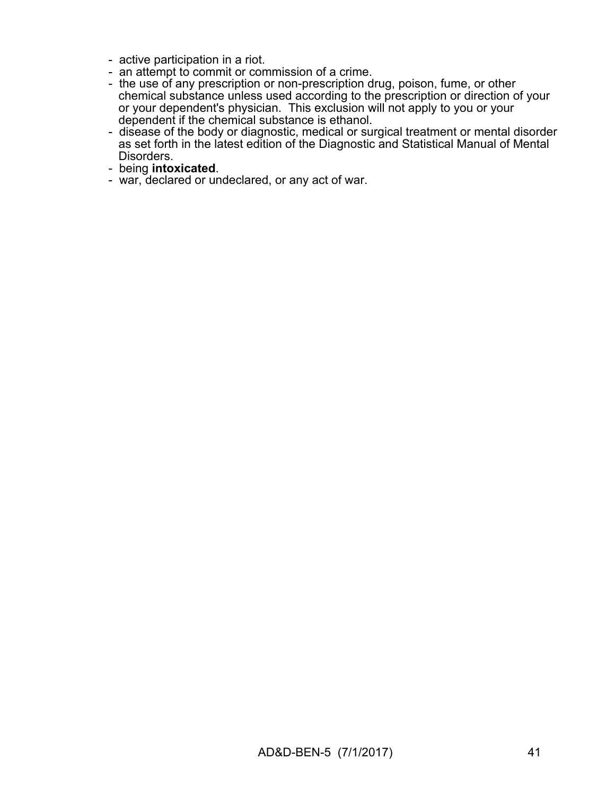- active participation in a riot.
- an attempt to commit or commission of a crime.
- the use of any prescription or non-prescription drug, poison, fume, or other chemical substance unless used according to the prescription or direction of your or your dependent's physician. This exclusion will not apply to you or your dependent if the chemical substance is ethanol.
- disease of the body or diagnostic, medical or surgical treatment or mental disorder as set forth in the latest edition of the Diagnostic and Statistical Manual of Mental Disorders.
- being **intoxicated**.
- war, declared or undeclared, or any act of war.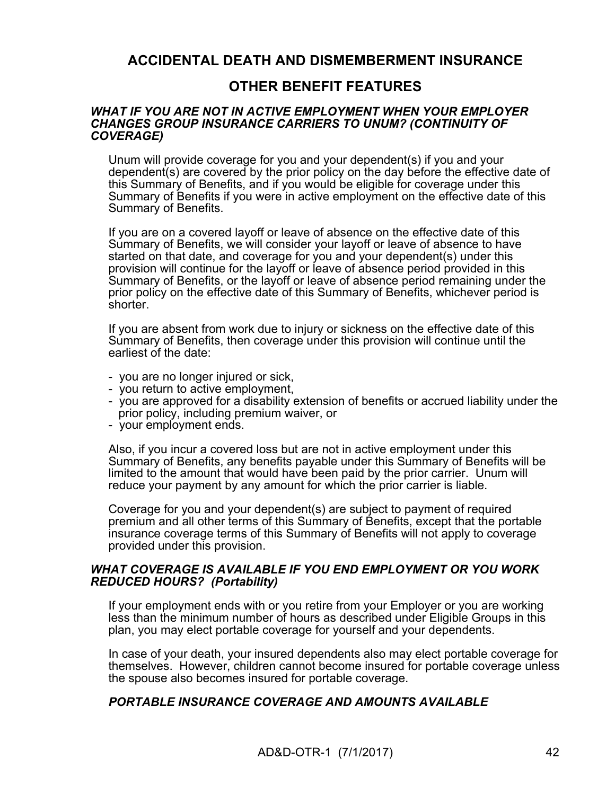## **ACCIDENTAL DEATH AND DISMEMBERMENT INSURANCE**

## **OTHER BENEFIT FEATURES**

#### *WHAT IF YOU ARE NOT IN ACTIVE EMPLOYMENT WHEN YOUR EMPLOYER CHANGES GROUP INSURANCE CARRIERS TO UNUM? (CONTINUITY OF COVERAGE)*

Unum will provide coverage for you and your dependent(s) if you and your dependent(s) are covered by the prior policy on the day before the effective date of this Summary of Benefits, and if you would be eligible for coverage under this Summary of Benefits if you were in active employment on the effective date of this Summary of Benefits.

If you are on a covered layoff or leave of absence on the effective date of this Summary of Benefits, we will consider your layoff or leave of absence to have started on that date, and coverage for you and your dependent(s) under this provision will continue for the layoff or leave of absence period provided in this Summary of Benefits, or the layoff or leave of absence period remaining under the prior policy on the effective date of this Summary of Benefits, whichever period is shorter.

If you are absent from work due to injury or sickness on the effective date of this Summary of Benefits, then coverage under this provision will continue until the earliest of the date:

- you are no longer injured or sick,
- you return to active employment,
- you are approved for a disability extension of benefits or accrued liability under the prior policy, including premium waiver, or
- your employment ends.

Also, if you incur a covered loss but are not in active employment under this Summary of Benefits, any benefits payable under this Summary of Benefits will be limited to the amount that would have been paid by the prior carrier. Unum will reduce your payment by any amount for which the prior carrier is liable.

Coverage for you and your dependent(s) are subject to payment of required premium and all other terms of this Summary of Benefits, except that the portable insurance coverage terms of this Summary of Benefits will not apply to coverage provided under this provision.

#### *WHAT COVERAGE IS AVAILABLE IF YOU END EMPLOYMENT OR YOU WORK REDUCED HOURS? (Portability)*

If your employment ends with or you retire from your Employer or you are working less than the minimum number of hours as described under Eligible Groups in this plan, you may elect portable coverage for yourself and your dependents.

In case of your death, your insured dependents also may elect portable coverage for themselves. However, children cannot become insured for portable coverage unless the spouse also becomes insured for portable coverage.

#### *PORTABLE INSURANCE COVERAGE AND AMOUNTS AVAILABLE*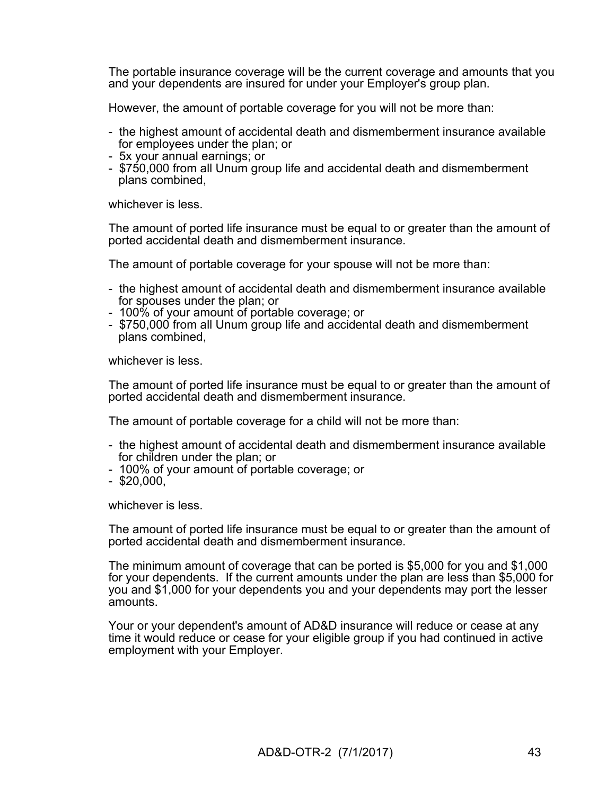The portable insurance coverage will be the current coverage and amounts that you and your dependents are insured for under your Employer's group plan.

However, the amount of portable coverage for you will not be more than:

- the highest amount of accidental death and dismemberment insurance available for employees under the plan; or
- 5x your annual earnings; or
- \$750,000 from all Unum group life and accidental death and dismemberment plans combined,

whichever is less.

The amount of ported life insurance must be equal to or greater than the amount of ported accidental death and dismemberment insurance.

The amount of portable coverage for your spouse will not be more than:

- the highest amount of accidental death and dismemberment insurance available for spouses under the plan; or
- 100% of your amount of portable coverage; or
- \$750,000 from all Unum group life and accidental death and dismemberment plans combined,

whichever is less.

The amount of ported life insurance must be equal to or greater than the amount of ported accidental death and dismemberment insurance.

The amount of portable coverage for a child will not be more than:

- the highest amount of accidental death and dismemberment insurance available for children under the plan; or
- 100% of your amount of portable coverage; or
- $-$  \$20,000,

whichever is less.

The amount of ported life insurance must be equal to or greater than the amount of ported accidental death and dismemberment insurance.

The minimum amount of coverage that can be ported is \$5,000 for you and \$1,000 for your dependents. If the current amounts under the plan are less than \$5,000 for you and \$1,000 for your dependents you and your dependents may port the lesser amounts.

Your or your dependent's amount of AD&D insurance will reduce or cease at any time it would reduce or cease for your eligible group if you had continued in active employment with your Employer.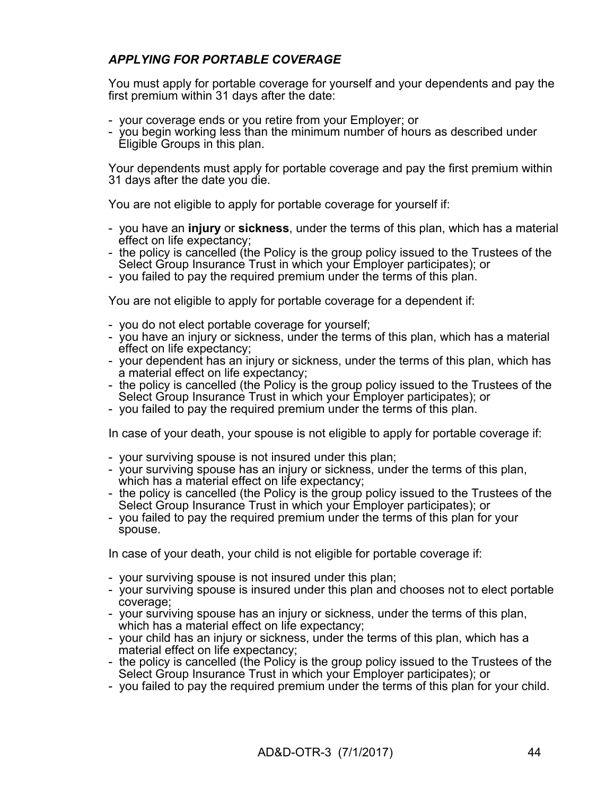## *APPLYING FOR PORTABLE COVERAGE*

You must apply for portable coverage for yourself and your dependents and pay the first premium within 31 days after the date:

- your coverage ends or you retire from your Employer; or
- you begin working less than the minimum number of hours as described under Eligible Groups in this plan.

Your dependents must apply for portable coverage and pay the first premium within 31 days after the date you die.

You are not eligible to apply for portable coverage for yourself if:

- you have an **injury** or **sickness**, under the terms of this plan, which has a material effect on life expectancy;
- the policy is cancelled (the Policy is the group policy issued to the Trustees of the Select Group Insurance Trust in which your Employer participates); or
- you failed to pay the required premium under the terms of this plan.

You are not eligible to apply for portable coverage for a dependent if:

- you do not elect portable coverage for yourself;
- you have an injury or sickness, under the terms of this plan, which has a material effect on life expectancy;
- your dependent has an injury or sickness, under the terms of this plan, which has a material effect on life expectancy;
- the policy is cancelled (the Policy is the group policy issued to the Trustees of the Select Group Insurance Trust in which your Employer participates); or
- you failed to pay the required premium under the terms of this plan.

In case of your death, your spouse is not eligible to apply for portable coverage if:

- your surviving spouse is not insured under this plan;
- your surviving spouse has an injury or sickness, under the terms of this plan, which has a material effect on life expectancy:
- the policy is cancelled (the Policy is the group policy issued to the Trustees of the Select Group Insurance Trust in which your Employer participates); or
- you failed to pay the required premium under the terms of this plan for your spouse.

In case of your death, your child is not eligible for portable coverage if:

- your surviving spouse is not insured under this plan;
- your surviving spouse is insured under this plan and chooses not to elect portable coverage;
- your surviving spouse has an injury or sickness, under the terms of this plan, which has a material effect on life expectancy;
- your child has an injury or sickness, under the terms of this plan, which has a material effect on life expectancy;
- the policy is cancelled (the Policy is the group policy issued to the Trustees of the Select Group Insurance Trust in which your Employer participates); or
- you failed to pay the required premium under the terms of this plan for your child.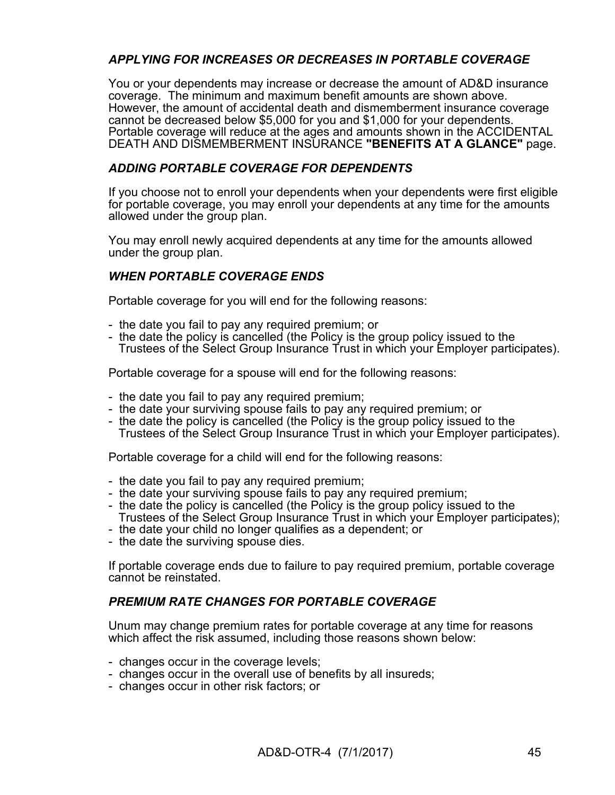## *APPLYING FOR INCREASES OR DECREASES IN PORTABLE COVERAGE*

You or your dependents may increase or decrease the amount of AD&D insurance coverage. The minimum and maximum benefit amounts are shown above. However, the amount of accidental death and dismemberment insurance coverage cannot be decreased below \$5,000 for you and \$1,000 for your dependents. Portable coverage will reduce at the ages and amounts shown in the ACCIDENTAL DEATH AND DISMEMBERMENT INSURANCE **"BENEFITS AT A GLANCE"** page.

### *ADDING PORTABLE COVERAGE FOR DEPENDENTS*

If you choose not to enroll your dependents when your dependents were first eligible for portable coverage, you may enroll your dependents at any time for the amounts allowed under the group plan.

You may enroll newly acquired dependents at any time for the amounts allowed under the group plan.

## *WHEN PORTABLE COVERAGE ENDS*

Portable coverage for you will end for the following reasons:

- the date you fail to pay any required premium; or
- the date the policy is cancelled (the Policy is the group policy issued to the Trustees of the Select Group Insurance Trust in which your Employer participates).

Portable coverage for a spouse will end for the following reasons:

- the date you fail to pay any required premium;
- the date your surviving spouse fails to pay any required premium; or
- the date the policy is cancelled (the Policy is the group policy issued to the Trustees of the Select Group Insurance Trust in which your Employer participates).

Portable coverage for a child will end for the following reasons:

- the date you fail to pay any required premium;
- the date your surviving spouse fails to pay any required premium;
- the date the policy is cancelled (the Policy is the group policy issued to the Trustees of the Select Group Insurance Trust in which your Employer participates);
- the date your child no longer qualifies as a dependent; or
- the date the surviving spouse dies.

If portable coverage ends due to failure to pay required premium, portable coverage cannot be reinstated.

### *PREMIUM RATE CHANGES FOR PORTABLE COVERAGE*

Unum may change premium rates for portable coverage at any time for reasons which affect the risk assumed, including those reasons shown below:

- changes occur in the coverage levels;
- changes occur in the overall use of benefits by all insureds;
- changes occur in other risk factors; or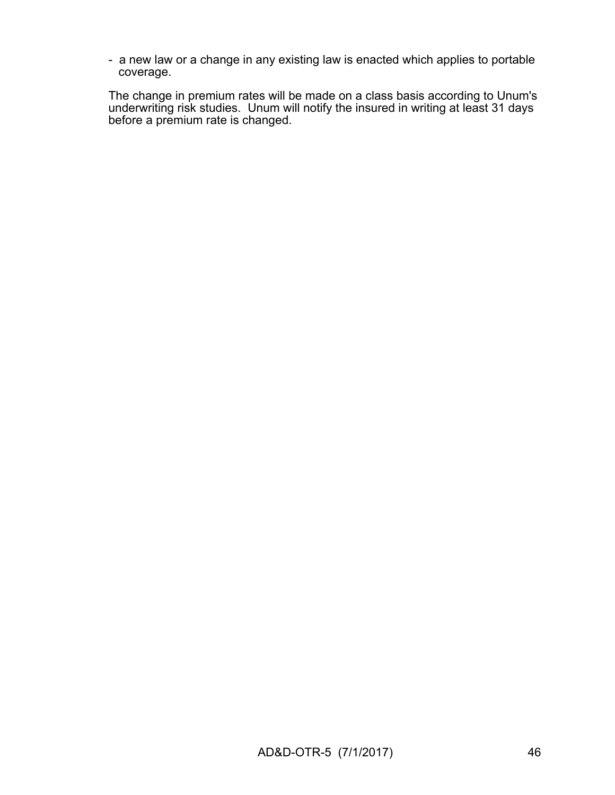- a new law or a change in any existing law is enacted which applies to portable coverage.

The change in premium rates will be made on a class basis according to Unum's underwriting risk studies. Unum will notify the insured in writing at least 31 days before a premium rate is changed.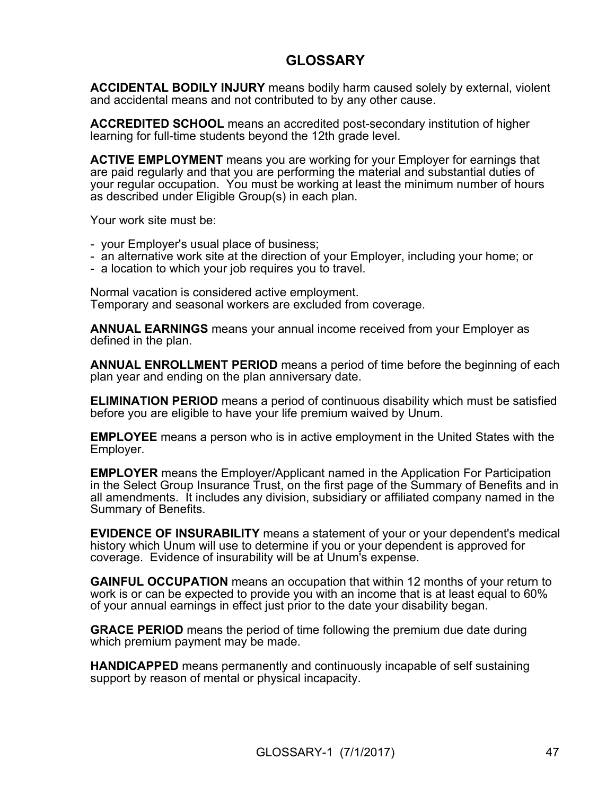## **GLOSSARY**

**ACCIDENTAL BODILY INJURY** means bodily harm caused solely by external, violent and accidental means and not contributed to by any other cause.

**ACCREDITED SCHOOL** means an accredited post-secondary institution of higher learning for full-time students beyond the 12th grade level.

**ACTIVE EMPLOYMENT** means you are working for your Employer for earnings that are paid regularly and that you are performing the material and substantial duties of your regular occupation. You must be working at least the minimum number of hours as described under Eligible Group(s) in each plan.

Your work site must be:

- your Employer's usual place of business;
- an alternative work site at the direction of your Employer, including your home; or
- a location to which your job requires you to travel.

Normal vacation is considered active employment. Temporary and seasonal workers are excluded from coverage.

**ANNUAL EARNINGS** means your annual income received from your Employer as defined in the plan.

**ANNUAL ENROLLMENT PERIOD** means a period of time before the beginning of each plan year and ending on the plan anniversary date.

**ELIMINATION PERIOD** means a period of continuous disability which must be satisfied before you are eligible to have your life premium waived by Unum.

**EMPLOYEE** means a person who is in active employment in the United States with the Employer.

**EMPLOYER** means the Employer/Applicant named in the Application For Participation in the Select Group Insurance Trust, on the first page of the Summary of Benefits and in all amendments. It includes any division, subsidiary or affiliated company named in the Summary of Benefits.

**EVIDENCE OF INSURABILITY** means a statement of your or your dependent's medical history which Unum will use to determine if you or your dependent is approved for coverage. Evidence of insurability will be at Unum's expense.

**GAINFUL OCCUPATION** means an occupation that within 12 months of your return to work is or can be expected to provide you with an income that is at least equal to 60% of your annual earnings in effect just prior to the date your disability began.

**GRACE PERIOD** means the period of time following the premium due date during which premium payment may be made.

**HANDICAPPED** means permanently and continuously incapable of self sustaining support by reason of mental or physical incapacity.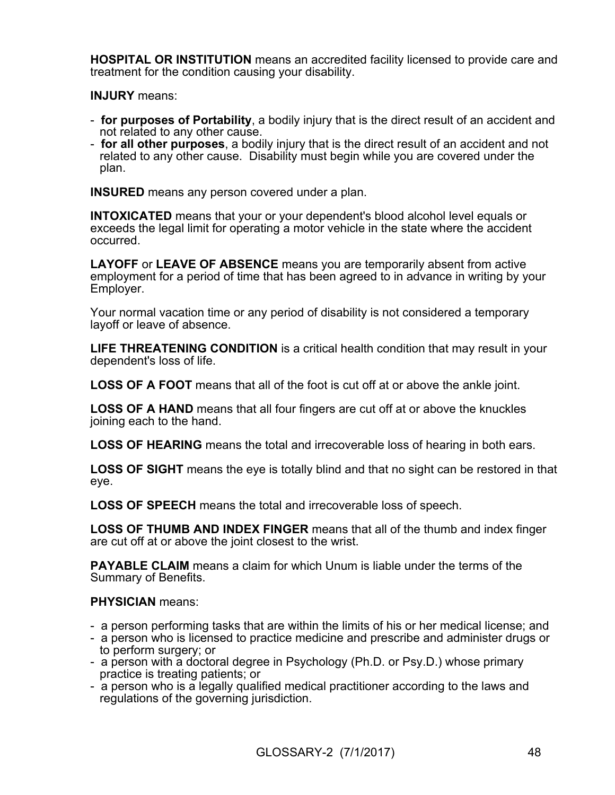**HOSPITAL OR INSTITUTION** means an accredited facility licensed to provide care and treatment for the condition causing your disability.

**INJURY** means:

- **for purposes of Portability**, a bodily injury that is the direct result of an accident and not related to any other cause.
- **for all other purposes**, a bodily injury that is the direct result of an accident and not related to any other cause. Disability must begin while you are covered under the plan.

**INSURED** means any person covered under a plan.

**INTOXICATED** means that your or your dependent's blood alcohol level equals or exceeds the legal limit for operating a motor vehicle in the state where the accident occurred.

**LAYOFF** or **LEAVE OF ABSENCE** means you are temporarily absent from active employment for a period of time that has been agreed to in advance in writing by your Employer.

Your normal vacation time or any period of disability is not considered a temporary layoff or leave of absence.

**LIFE THREATENING CONDITION** is a critical health condition that may result in your dependent's loss of life.

**LOSS OF A FOOT** means that all of the foot is cut off at or above the ankle joint.

**LOSS OF A HAND** means that all four fingers are cut off at or above the knuckles joining each to the hand.

**LOSS OF HEARING** means the total and irrecoverable loss of hearing in both ears.

**LOSS OF SIGHT** means the eye is totally blind and that no sight can be restored in that eye.

**LOSS OF SPEECH** means the total and irrecoverable loss of speech.

**LOSS OF THUMB AND INDEX FINGER** means that all of the thumb and index finger are cut off at or above the joint closest to the wrist.

**PAYABLE CLAIM** means a claim for which Unum is liable under the terms of the Summary of Benefits.

### **PHYSICIAN** means:

- a person performing tasks that are within the limits of his or her medical license; and
- a person who is licensed to practice medicine and prescribe and administer drugs or to perform surgery; or
- a person with a doctoral degree in Psychology (Ph.D. or Psy.D.) whose primary practice is treating patients; or
- a person who is a legally qualified medical practitioner according to the laws and regulations of the governing jurisdiction.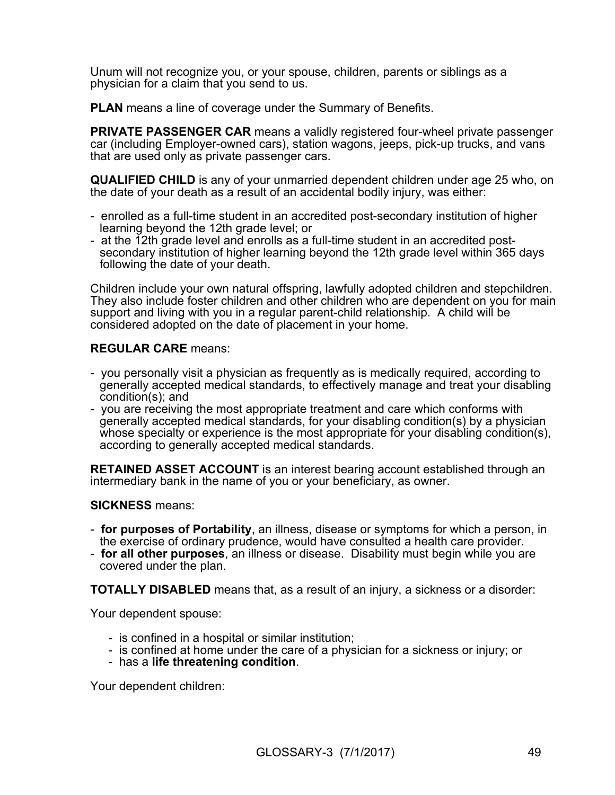Unum will not recognize you, or your spouse, children, parents or siblings as a physician for a claim that you send to us.

**PLAN** means a line of coverage under the Summary of Benefits.

**PRIVATE PASSENGER CAR** means a validly registered four-wheel private passenger car (including Employer-owned cars), station wagons, jeeps, pick-up trucks, and vans that are used only as private passenger cars.

**QUALIFIED CHILD** is any of your unmarried dependent children under age 25 who, on the date of your death as a result of an accidental bodily injury, was either:

- enrolled as a full-time student in an accredited post-secondary institution of higher learning beyond the 12th grade level; or
- at the 12th grade level and enrolls as a full-time student in an accredited postsecondary institution of higher learning beyond the 12th grade level within 365 days following the date of your death.

Children include your own natural offspring, lawfully adopted children and stepchildren. They also include foster children and other children who are dependent on you for main support and living with you in a regular parent-child relationship. A child will be considered adopted on the date of placement in your home.

#### **REGULAR CARE** means:

- you personally visit a physician as frequently as is medically required, according to generally accepted medical standards, to effectively manage and treat your disabling condition(s); and
- you are receiving the most appropriate treatment and care which conforms with generally accepted medical standards, for your disabling condition(s) by a physician whose specialty or experience is the most appropriate for your disabling condition(s), according to generally accepted medical standards.

**RETAINED ASSET ACCOUNT** is an interest bearing account established through an intermediary bank in the name of you or your beneficiary, as owner.

#### **SICKNESS** means:

- **for purposes of Portability**, an illness, disease or symptoms for which a person, in the exercise of ordinary prudence, would have consulted a health care provider.
- **for all other purposes**, an illness or disease. Disability must begin while you are covered under the plan.

**TOTALLY DISABLED** means that, as a result of an injury, a sickness or a disorder:

Your dependent spouse:

- is confined in a hospital or similar institution;
- is confined at home under the care of a physician for a sickness or injury; or
- has a **life threatening condition**.

Your dependent children: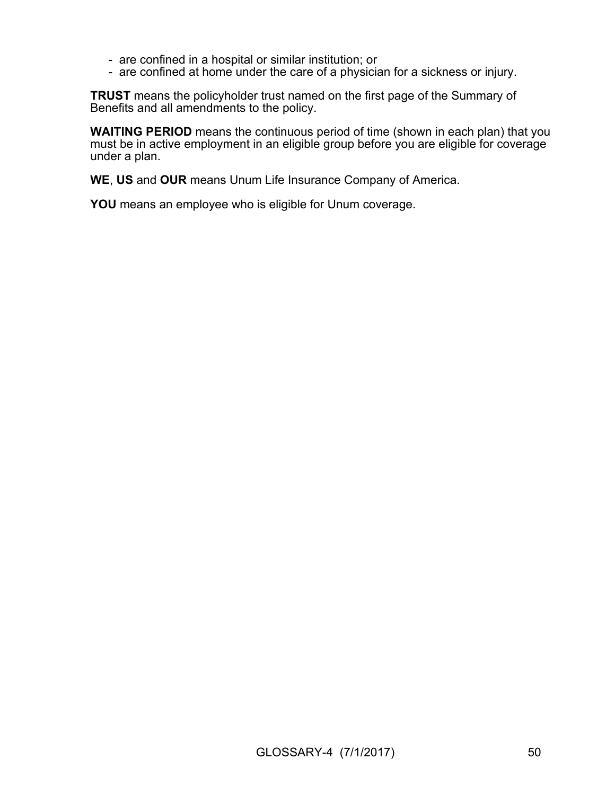- are confined in a hospital or similar institution; or
- are confined at home under the care of a physician for a sickness or injury.

**TRUST** means the policyholder trust named on the first page of the Summary of Benefits and all amendments to the policy.

**WAITING PERIOD** means the continuous period of time (shown in each plan) that you must be in active employment in an eligible group before you are eligible for coverage under a plan.

**WE**, **US** and **OUR** means Unum Life Insurance Company of America.

**YOU** means an employee who is eligible for Unum coverage.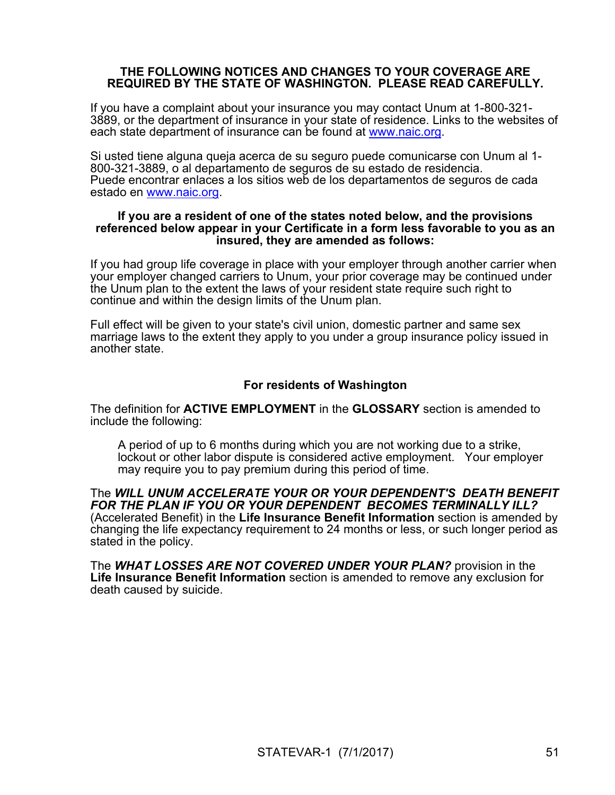#### **THE FOLLOWING NOTICES AND CHANGES TO YOUR COVERAGE ARE REQUIRED BY THE STATE OF WASHINGTON. PLEASE READ CAREFULLY.**

If you have a complaint about your insurance you may contact Unum at 1-800-321- 3889, or the department of insurance in your state of residence. Links to the websites of each state department of insurance can be found at [www.naic.org.](http://www.naic.org/)

Si usted tiene alguna queja acerca de su seguro puede comunicarse con Unum al 1- 800-321-3889, o al departamento de seguros de su estado de residencia. Puede encontrar enlaces a los sitios web de los departamentos de seguros de cada estado en [www.naic.org](http://www.naic.org/).

#### **If you are a resident of one of the states noted below, and the provisions referenced below appear in your Certificate in a form less favorable to you as an insured, they are amended as follows:**

If you had group life coverage in place with your employer through another carrier when your employer changed carriers to Unum, your prior coverage may be continued under the Unum plan to the extent the laws of your resident state require such right to continue and within the design limits of the Unum plan.

Full effect will be given to your state's civil union, domestic partner and same sex marriage laws to the extent they apply to you under a group insurance policy issued in another state.

### **For residents of Washington**

The definition for **ACTIVE EMPLOYMENT** in the **GLOSSARY** section is amended to include the following:

A period of up to 6 months during which you are not working due to a strike, lockout or other labor dispute is considered active employment. Your employer may require you to pay premium during this period of time.

The *WILL UNUM ACCELERATE YOUR OR YOUR DEPENDENT'S DEATH BENEFIT FOR THE PLAN IF YOU OR YOUR DEPENDENT BECOMES TERMINALLY ILL?*  (Accelerated Benefit) in the **Life Insurance Benefit Information** section is amended by changing the life expectancy requirement to 24 months or less, or such longer period as stated in the policy.

The *WHAT LOSSES ARE NOT COVERED UNDER YOUR PLAN?* provision in the **Life Insurance Benefit Information** section is amended to remove any exclusion for death caused by suicide.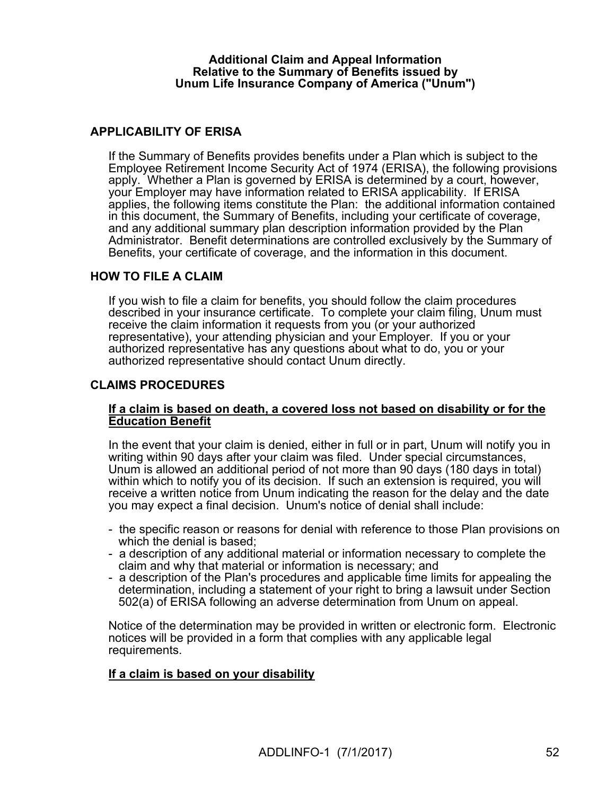#### **Additional Claim and Appeal Information Relative to the Summary of Benefits issued by Unum Life Insurance Company of America ("Unum")**

### **APPLICABILITY OF ERISA**

If the Summary of Benefits provides benefits under a Plan which is subject to the Employee Retirement Income Security Act of 1974 (ERISA), the following provisions apply. Whether a Plan is governed by ERISA is determined by a court, however, your Employer may have information related to ERISA applicability. If ERISA applies, the following items constitute the Plan: the additional information contained in this document, the Summary of Benefits, including your certificate of coverage, and any additional summary plan description information provided by the Plan Administrator. Benefit determinations are controlled exclusively by the Summary of Benefits, your certificate of coverage, and the information in this document.

#### **HOW TO FILE A CLAIM**

If you wish to file a claim for benefits, you should follow the claim procedures described in your insurance certificate. To complete your claim filing, Unum must receive the claim information it requests from you (or your authorized representative), your attending physician and your Employer. If you or your authorized representative has any questions about what to do, you or your authorized representative should contact Unum directly.

#### **CLAIMS PROCEDURES**

#### **If a claim is based on death, a covered loss not based on disability or for the Education Benefit**

In the event that your claim is denied, either in full or in part, Unum will notify you in writing within 90 days after your claim was filed. Under special circumstances, Unum is allowed an additional period of not more than 90 days (180 days in total) within which to notify you of its decision. If such an extension is required, you will receive a written notice from Unum indicating the reason for the delay and the date you may expect a final decision. Unum's notice of denial shall include:

- the specific reason or reasons for denial with reference to those Plan provisions on which the denial is based;
- a description of any additional material or information necessary to complete the claim and why that material or information is necessary; and
- a description of the Plan's procedures and applicable time limits for appealing the determination, including a statement of your right to bring a lawsuit under Section 502(a) of ERISA following an adverse determination from Unum on appeal.

Notice of the determination may be provided in written or electronic form. Electronic notices will be provided in a form that complies with any applicable legal requirements.

#### **If a claim is based on your disability**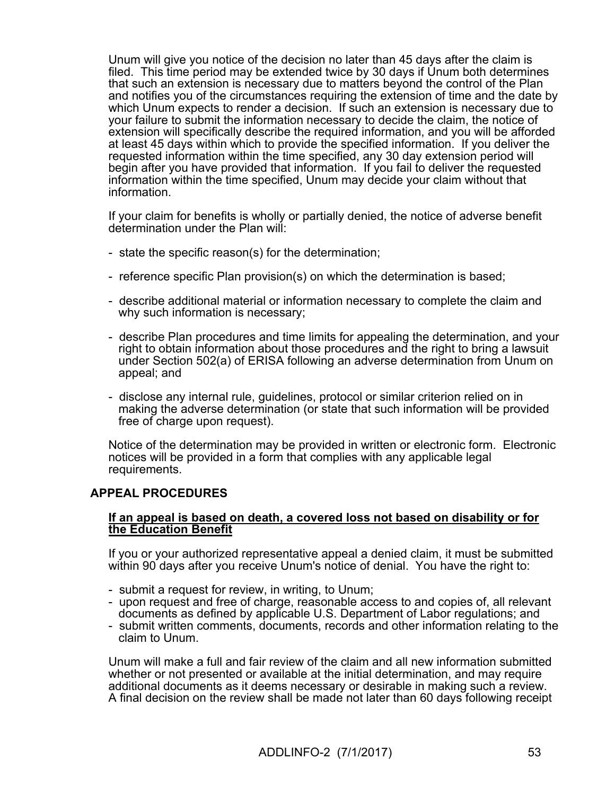Unum will give you notice of the decision no later than 45 days after the claim is filed. This time period may be extended twice by 30 days if Unum both determines that such an extension is necessary due to matters beyond the control of the Plan and notifies you of the circumstances requiring the extension of time and the date by which Unum expects to render a decision. If such an extension is necessary due to your failure to submit the information necessary to decide the claim, the notice of extension will specifically describe the required information, and you will be afforded at least 45 days within which to provide the specified information. If you deliver the requested information within the time specified, any 30 day extension period will begin after you have provided that information. If you fail to deliver the requested information within the time specified, Unum may decide your claim without that information.

If your claim for benefits is wholly or partially denied, the notice of adverse benefit determination under the Plan will:

- state the specific reason(s) for the determination;
- reference specific Plan provision(s) on which the determination is based;
- describe additional material or information necessary to complete the claim and why such information is necessary;
- describe Plan procedures and time limits for appealing the determination, and your right to obtain information about those procedures and the right to bring a lawsuit under Section 502(a) of ERISA following an adverse determination from Unum on appeal; and
- disclose any internal rule, guidelines, protocol or similar criterion relied on in making the adverse determination (or state that such information will be provided free of charge upon request).

Notice of the determination may be provided in written or electronic form. Electronic notices will be provided in a form that complies with any applicable legal requirements.

#### **APPEAL PROCEDURES**

#### **If an appeal is based on death, a covered loss not based on disability or for the Education Benefit**

If you or your authorized representative appeal a denied claim, it must be submitted within 90 days after you receive Unum's notice of denial. You have the right to:

- submit a request for review, in writing, to Unum;
- upon request and free of charge, reasonable access to and copies of, all relevant documents as defined by applicable U.S. Department of Labor regulations; and
- submit written comments, documents, records and other information relating to the claim to Unum.

Unum will make a full and fair review of the claim and all new information submitted whether or not presented or available at the initial determination, and may require additional documents as it deems necessary or desirable in making such a review. A final decision on the review shall be made not later than 60 days following receipt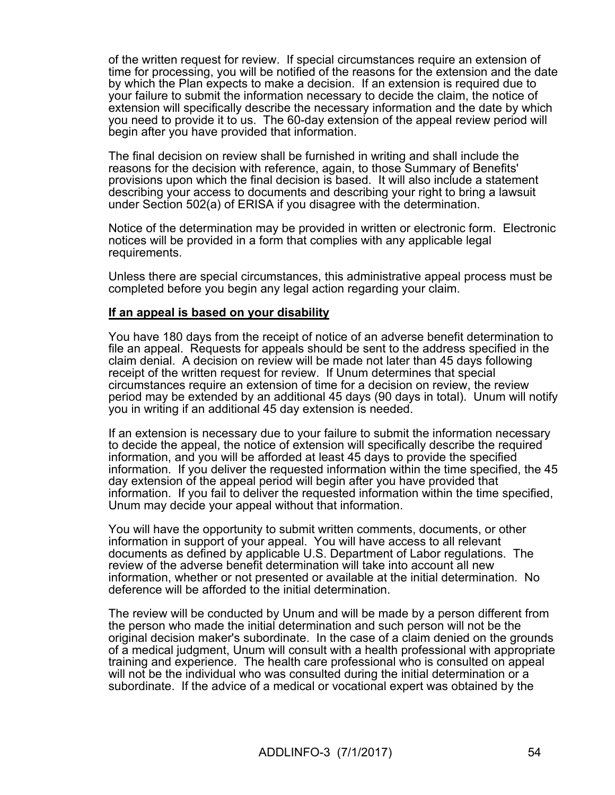of the written request for review. If special circumstances require an extension of time for processing, you will be notified of the reasons for the extension and the date by which the Plan expects to make a decision. If an extension is required due to your failure to submit the information necessary to decide the claim, the notice of extension will specifically describe the necessary information and the date by which you need to provide it to us. The 60-day extension of the appeal review period will begin after you have provided that information.

The final decision on review shall be furnished in writing and shall include the reasons for the decision with reference, again, to those Summary of Benefits' provisions upon which the final decision is based. It will also include a statement describing your access to documents and describing your right to bring a lawsuit under Section 502(a) of ERISA if you disagree with the determination.

Notice of the determination may be provided in written or electronic form. Electronic notices will be provided in a form that complies with any applicable legal requirements.

Unless there are special circumstances, this administrative appeal process must be completed before you begin any legal action regarding your claim.

#### **If an appeal is based on your disability**

You have 180 days from the receipt of notice of an adverse benefit determination to file an appeal. Requests for appeals should be sent to the address specified in the claim denial. A decision on review will be made not later than 45 days following receipt of the written request for review. If Unum determines that special circumstances require an extension of time for a decision on review, the review period may be extended by an additional 45 days (90 days in total). Unum will notify you in writing if an additional 45 day extension is needed.

If an extension is necessary due to your failure to submit the information necessary to decide the appeal, the notice of extension will specifically describe the required information, and you will be afforded at least 45 days to provide the specified information. If you deliver the requested information within the time specified, the 45 day extension of the appeal period will begin after you have provided that information. If you fail to deliver the requested information within the time specified, Unum may decide your appeal without that information.

You will have the opportunity to submit written comments, documents, or other information in support of your appeal. You will have access to all relevant documents as defined by applicable U.S. Department of Labor regulations. The review of the adverse benefit determination will take into account all new information, whether or not presented or available at the initial determination. No deference will be afforded to the initial determination.

The review will be conducted by Unum and will be made by a person different from the person who made the initial determination and such person will not be the original decision maker's subordinate. In the case of a claim denied on the grounds of a medical judgment, Unum will consult with a health professional with appropriate training and experience. The health care professional who is consulted on appeal will not be the individual who was consulted during the initial determination or a subordinate. If the advice of a medical or vocational expert was obtained by the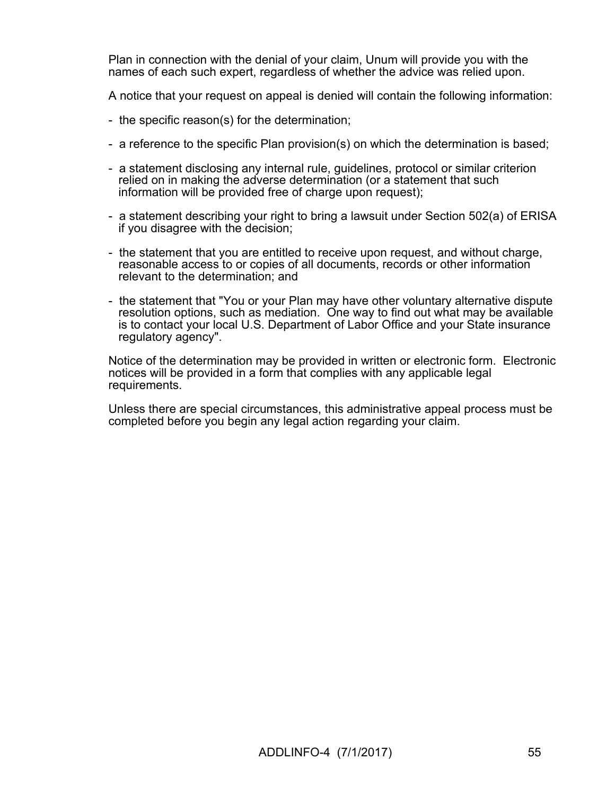Plan in connection with the denial of your claim, Unum will provide you with the names of each such expert, regardless of whether the advice was relied upon.

A notice that your request on appeal is denied will contain the following information:

- the specific reason(s) for the determination;
- a reference to the specific Plan provision(s) on which the determination is based;
- a statement disclosing any internal rule, guidelines, protocol or similar criterion relied on in making the adverse determination (or a statement that such information will be provided free of charge upon request);
- a statement describing your right to bring a lawsuit under Section 502(a) of ERISA if you disagree with the decision;
- the statement that you are entitled to receive upon request, and without charge, reasonable access to or copies of all documents, records or other information relevant to the determination; and
- the statement that "You or your Plan may have other voluntary alternative dispute resolution options, such as mediation. One way to find out what may be available is to contact your local U.S. Department of Labor Office and your State insurance regulatory agency".

Notice of the determination may be provided in written or electronic form. Electronic notices will be provided in a form that complies with any applicable legal requirements.

Unless there are special circumstances, this administrative appeal process must be completed before you begin any legal action regarding your claim.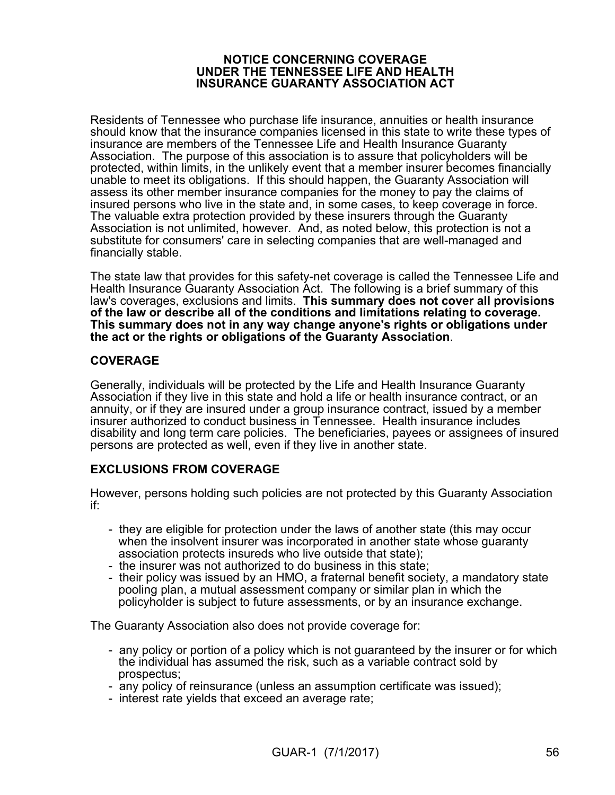#### **NOTICE CONCERNING COVERAGE UNDER THE TENNESSEE LIFE AND HEALTH INSURANCE GUARANTY ASSOCIATION ACT**

Residents of Tennessee who purchase life insurance, annuities or health insurance should know that the insurance companies licensed in this state to write these types of insurance are members of the Tennessee Life and Health Insurance Guaranty Association. The purpose of this association is to assure that policyholders will be protected, within limits, in the unlikely event that a member insurer becomes financially unable to meet its obligations. If this should happen, the Guaranty Association will assess its other member insurance companies for the money to pay the claims of insured persons who live in the state and, in some cases, to keep coverage in force. The valuable extra protection provided by these insurers through the Guaranty Association is not unlimited, however. And, as noted below, this protection is not a substitute for consumers' care in selecting companies that are well-managed and financially stable.

The state law that provides for this safety-net coverage is called the Tennessee Life and Health Insurance Guaranty Association Act. The following is a brief summary of this law's coverages, exclusions and limits. **This summary does not cover all provisions of the law or describe all of the conditions and limitations relating to coverage. This summary does not in any way change anyone's rights or obligations under the act or the rights or obligations of the Guaranty Association**.

### **COVERAGE**

Generally, individuals will be protected by the Life and Health Insurance Guaranty Association if they live in this state and hold a life or health insurance contract, or an annuity, or if they are insured under a group insurance contract, issued by a member insurer authorized to conduct business in Tennessee. Health insurance includes disability and long term care policies. The beneficiaries, payees or assignees of insured persons are protected as well, even if they live in another state.

### **EXCLUSIONS FROM COVERAGE**

However, persons holding such policies are not protected by this Guaranty Association if:

- they are eligible for protection under the laws of another state (this may occur when the insolvent insurer was incorporated in another state whose guaranty association protects insureds who live outside that state);
- the insurer was not authorized to do business in this state;
- their policy was issued by an HMO, a fraternal benefit society, a mandatory state pooling plan, a mutual assessment company or similar plan in which the policyholder is subject to future assessments, or by an insurance exchange.

The Guaranty Association also does not provide coverage for:

- any policy or portion of a policy which is not guaranteed by the insurer or for which the individual has assumed the risk, such as a variable contract sold by prospectus;
- any policy of reinsurance (unless an assumption certificate was issued);
- interest rate yields that exceed an average rate;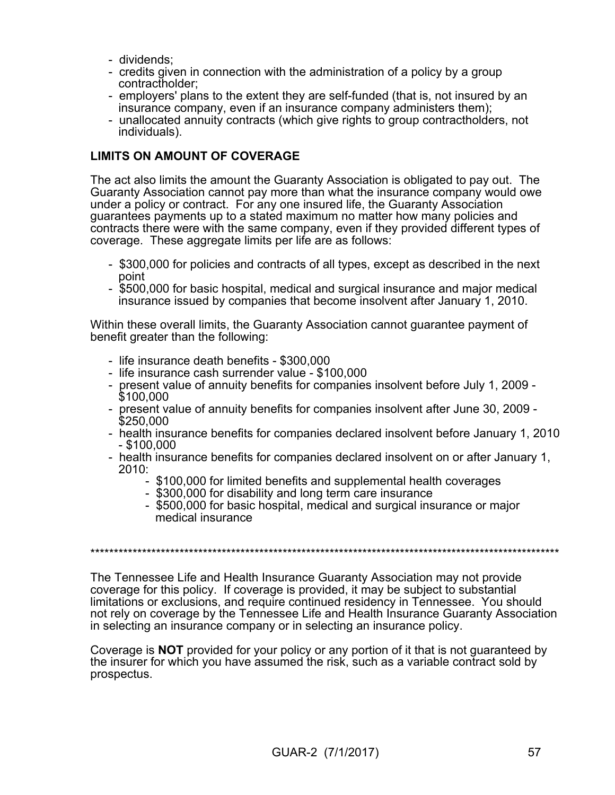- dividends;
- credits given in connection with the administration of a policy by a group contractholder;
- employers' plans to the extent they are self-funded (that is, not insured by an insurance company, even if an insurance company administers them);
- unallocated annuity contracts (which give rights to group contractholders, not individuals).

### **LIMITS ON AMOUNT OF COVERAGE**

The act also limits the amount the Guaranty Association is obligated to pay out. The Guaranty Association cannot pay more than what the insurance company would owe under a policy or contract. For any one insured life, the Guaranty Association guarantees payments up to a stated maximum no matter how many policies and contracts there were with the same company, even if they provided different types of coverage. These aggregate limits per life are as follows:

- \$300,000 for policies and contracts of all types, except as described in the next point
- \$500,000 for basic hospital, medical and surgical insurance and major medical insurance issued by companies that become insolvent after January 1, 2010.

Within these overall limits, the Guaranty Association cannot guarantee payment of benefit greater than the following:

- life insurance death benefits \$300,000
- life insurance cash surrender value \$100,000
- present value of annuity benefits for companies insolvent before July 1, 2009 \$100,000
- present value of annuity benefits for companies insolvent after June 30, 2009 \$250,000
- health insurance benefits for companies declared insolvent before January 1, 2010 - \$100,000
- health insurance benefits for companies declared insolvent on or after January 1, 2010:
	- \$100,000 for limited benefits and supplemental health coverages
	- \$300,000 for disability and long term care insurance
	- \$500,000 for basic hospital, medical and surgical insurance or major medical insurance

\*\*\*\*\*\*\*\*\*\*\*\*\*\*\*\*\*\*\*\*\*\*\*\*\*\*\*\*\*\*\*\*\*\*\*\*\*\*\*\*\*\*\*\*\*\*\*\*\*\*\*\*\*\*\*\*\*\*\*\*\*\*\*\*\*\*\*\*\*\*\*\*\*\*\*\*\*\*\*\*\*\*\*\*\*\*\*\*\*\*\*\*\*\*\*\*\*\*\*\*

The Tennessee Life and Health Insurance Guaranty Association may not provide coverage for this policy. If coverage is provided, it may be subject to substantial limitations or exclusions, and require continued residency in Tennessee. You should not rely on coverage by the Tennessee Life and Health Insurance Guaranty Association in selecting an insurance company or in selecting an insurance policy.

Coverage is **NOT** provided for your policy or any portion of it that is not guaranteed by the insurer for which you have assumed the risk, such as a variable contract sold by prospectus.